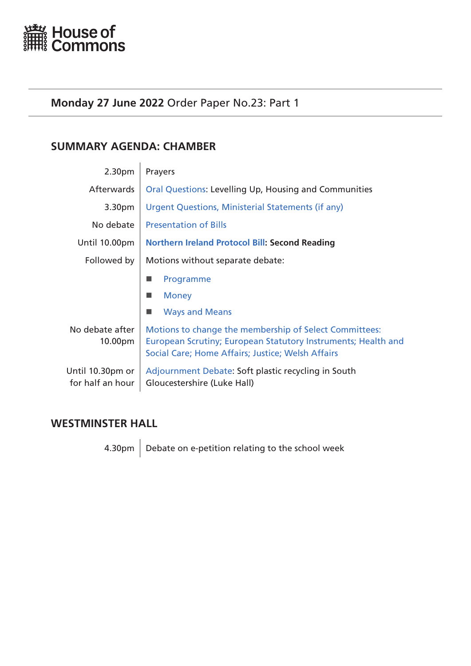<span id="page-0-0"></span>

# **Monday 27 June 2022** Order Paper No.23: Part 1

# **SUMMARY AGENDA: CHAMBER**

| 2.30pm                               | Prayers                                                                                                                                                                      |  |
|--------------------------------------|------------------------------------------------------------------------------------------------------------------------------------------------------------------------------|--|
| Afterwards                           | Oral Questions: Levelling Up, Housing and Communities                                                                                                                        |  |
| 3.30pm                               | Urgent Questions, Ministerial Statements (if any)                                                                                                                            |  |
| No debate                            | <b>Presentation of Bills</b>                                                                                                                                                 |  |
| Until 10.00pm                        | <b>Northern Ireland Protocol Bill: Second Reading</b>                                                                                                                        |  |
| Followed by                          | Motions without separate debate:                                                                                                                                             |  |
|                                      | Programme                                                                                                                                                                    |  |
|                                      | <b>Money</b>                                                                                                                                                                 |  |
|                                      | <b>Ways and Means</b><br>٠                                                                                                                                                   |  |
| No debate after<br>10.00pm           | Motions to change the membership of Select Committees:<br>European Scrutiny; European Statutory Instruments; Health and<br>Social Care; Home Affairs; Justice; Welsh Affairs |  |
| Until 10.30pm or<br>for half an hour | Adjournment Debate: Soft plastic recycling in South<br>Gloucestershire (Luke Hall)                                                                                           |  |
|                                      |                                                                                                                                                                              |  |

# **WESTMINSTER HALL**

4.30pm  $\Big|$  Debate on e-petition relating to the school week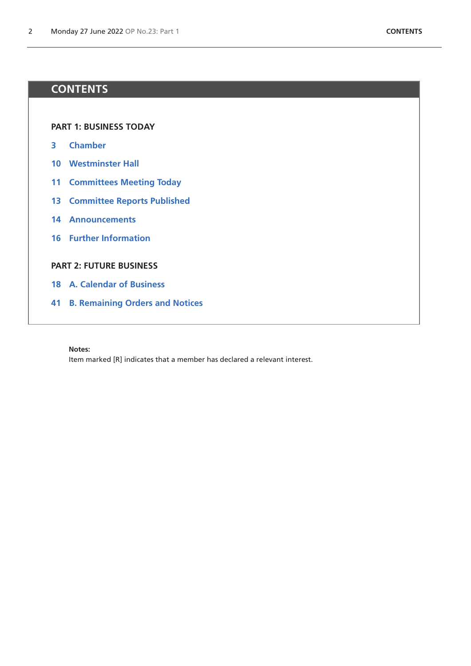# **CONTENTS**

**[PART 1: BUSINESS TODAY](#page-0-0)**

- **[Chamber](#page-2-1)**
- **[Westminster Hall](#page-9-0)**
- **[Committees Meeting Today](#page-10-0)**
- **[Committee Reports Published](#page-12-0)**
- **[Announcements](#page-13-0)**
- **[Further Information](#page-15-0)**

# **[PART 2: FUTURE BUSINESS](#page-16-0)**

- **[A. Calendar of Business](#page-17-0)**
- **[B. Remaining Orders and Notices](#page-40-0)**

**Notes:**

Item marked [R] indicates that a member has declared a relevant interest.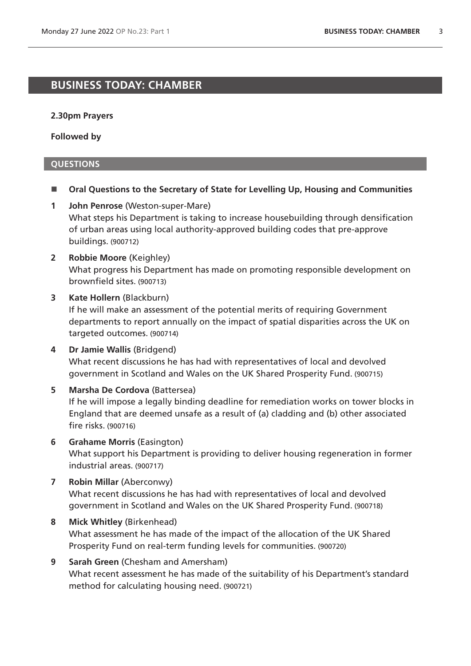# <span id="page-2-1"></span>**BUSINESS TODAY: CHAMBER**

#### **2.30pm Prayers**

**Followed by**

## <span id="page-2-0"></span>**QUESTIONS**

- Oral Questions to the Secretary of State for Levelling Up, Housing and Communities
- **1 John Penrose** (Weston-super-Mare) What steps his Department is taking to increase housebuilding through densification of urban areas using local authority-approved building codes that pre-approve buildings. (900712)
- **2 Robbie Moore** (Keighley) What progress his Department has made on promoting responsible development on brownfield sites. (900713)

#### **3 Kate Hollern** (Blackburn)

If he will make an assessment of the potential merits of requiring Government departments to report annually on the impact of spatial disparities across the UK on targeted outcomes. (900714)

- **4 Dr Jamie Wallis** (Bridgend) What recent discussions he has had with representatives of local and devolved government in Scotland and Wales on the UK Shared Prosperity Fund. (900715)
- **5 Marsha De Cordova** (Battersea) If he will impose a legally binding deadline for remediation works on tower blocks in England that are deemed unsafe as a result of (a) cladding and (b) other associated fire risks. (900716)
- **6 Grahame Morris** (Easington) What support his Department is providing to deliver housing regeneration in former industrial areas. (900717)
- **7 Robin Millar** (Aberconwy) What recent discussions he has had with representatives of local and devolved government in Scotland and Wales on the UK Shared Prosperity Fund. (900718)
- **8 Mick Whitley** (Birkenhead) What assessment he has made of the impact of the allocation of the UK Shared Prosperity Fund on real-term funding levels for communities. (900720)
- **9 Sarah Green** (Chesham and Amersham) What recent assessment he has made of the suitability of his Department's standard method for calculating housing need. (900721)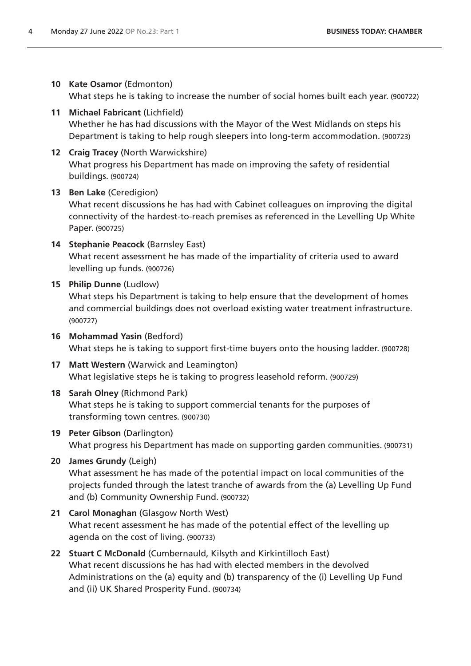# **10 Kate Osamor** (Edmonton)

What steps he is taking to increase the number of social homes built each year. (900722)

- **11 Michael Fabricant** (Lichfield) Whether he has had discussions with the Mayor of the West Midlands on steps his Department is taking to help rough sleepers into long-term accommodation. (900723)
- **12 Craig Tracey** (North Warwickshire) What progress his Department has made on improving the safety of residential buildings. (900724)

# **13 Ben Lake** (Ceredigion)

What recent discussions he has had with Cabinet colleagues on improving the digital connectivity of the hardest-to-reach premises as referenced in the Levelling Up White Paper. (900725)

**14 Stephanie Peacock** (Barnsley East)

What recent assessment he has made of the impartiality of criteria used to award levelling up funds. (900726)

# **15 Philip Dunne** (Ludlow)

What steps his Department is taking to help ensure that the development of homes and commercial buildings does not overload existing water treatment infrastructure. (900727)

- **16 Mohammad Yasin** (Bedford) What steps he is taking to support first-time buyers onto the housing ladder. (900728)
- **17 Matt Western** (Warwick and Leamington) What legislative steps he is taking to progress leasehold reform. (900729)

# **18 Sarah Olney** (Richmond Park) What steps he is taking to support commercial tenants for the purposes of transforming town centres. (900730)

# **19 Peter Gibson** (Darlington) What progress his Department has made on supporting garden communities. (900731)

# **20 James Grundy** (Leigh)

What assessment he has made of the potential impact on local communities of the projects funded through the latest tranche of awards from the (a) Levelling Up Fund and (b) Community Ownership Fund. (900732)

**21 Carol Monaghan** (Glasgow North West)

What recent assessment he has made of the potential effect of the levelling up agenda on the cost of living. (900733)

**22 Stuart C McDonald** (Cumbernauld, Kilsyth and Kirkintilloch East) What recent discussions he has had with elected members in the devolved Administrations on the (a) equity and (b) transparency of the (i) Levelling Up Fund and (ii) UK Shared Prosperity Fund. (900734)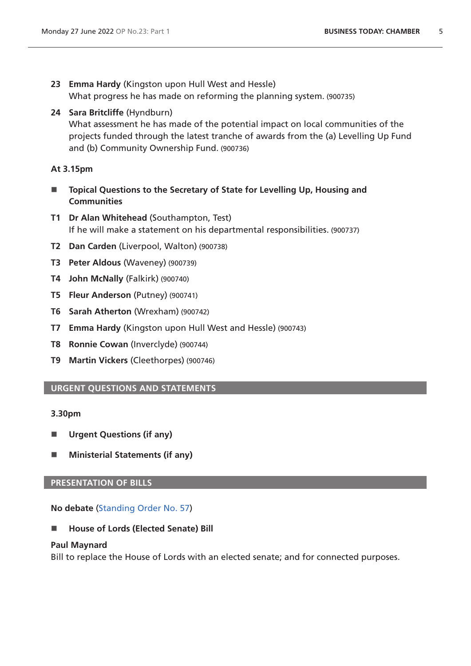- **23 Emma Hardy** (Kingston upon Hull West and Hessle) What progress he has made on reforming the planning system. (900735)
- **24 Sara Britcliffe** (Hyndburn) What assessment he has made of the potential impact on local communities of the projects funded through the latest tranche of awards from the (a) Levelling Up Fund and (b) Community Ownership Fund. (900736)

## **At 3.15pm**

- Topical Questions to the Secretary of State for Levelling Up, Housing and **Communities**
- **T1 Dr Alan Whitehead** (Southampton, Test) If he will make a statement on his departmental responsibilities. (900737)
- **T2 Dan Carden** (Liverpool, Walton) (900738)
- **T3 Peter Aldous** (Waveney) (900739)
- **T4 John McNally** (Falkirk) (900740)
- **T5 Fleur Anderson** (Putney) (900741)
- **T6 Sarah Atherton** (Wrexham) (900742)
- **T7 Emma Hardy** (Kingston upon Hull West and Hessle) (900743)
- **T8 Ronnie Cowan** (Inverclyde) (900744)
- **T9 Martin Vickers** (Cleethorpes) (900746)

# <span id="page-4-0"></span>**URGENT QUESTIONS AND STATEMENTS**

## **3.30pm**

- **Urgent Questions (if any)**
- Ministerial Statements (if any)

## <span id="page-4-1"></span>**PRESENTATION OF BILLS**

**No debate** ([Standing Order No. 57\)](https://publications.parliament.uk/pa/cm5802/cmstords/so_804_2021/so-orders.html#so-57)

■ House of Lords (Elected Senate) Bill

## **Paul Maynard**

Bill to replace the House of Lords with an elected senate; and for connected purposes.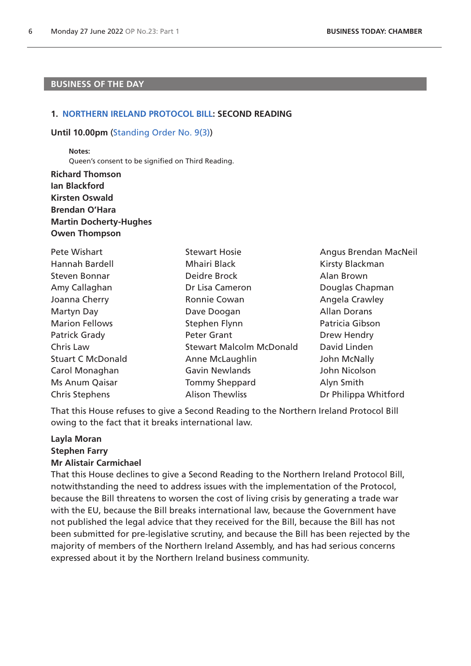# **BUSINESS OF THE DAY**

#### **1. [NORTHERN IRELAND PROTOCOL BILL:](https://publications.parliament.uk/pa/bills/cbill/58-03/0012/220012.pdf) SECOND READING**

#### **Until 10.00pm** [\(Standing Order No. 9\(3\)](https://publications.parliament.uk/pa/cm5802/cmstords/so_804_2021/so-orders.html#so-9_3))

<span id="page-5-0"></span>**Notes:**

Queen's consent to be signified on Third Reading.

**Richard Thomson Ian Blackford Kirsten Oswald Brendan O'Hara Martin Docherty-Hughes Owen Thompson**

| Pete Wishart             | <b>Stewart Hosie</b>            | Angus Brendan MacNeil |
|--------------------------|---------------------------------|-----------------------|
| Hannah Bardell           | Mhairi Black                    | Kirsty Blackman       |
| <b>Steven Bonnar</b>     | Deidre Brock                    | Alan Brown            |
| Amy Callaghan            | Dr Lisa Cameron                 | Douglas Chapman       |
| Joanna Cherry            | Ronnie Cowan                    | Angela Crawley        |
| Martyn Day               | Dave Doogan                     | <b>Allan Dorans</b>   |
| <b>Marion Fellows</b>    | Stephen Flynn                   | Patricia Gibson       |
| Patrick Grady            | <b>Peter Grant</b>              | Drew Hendry           |
| Chris Law                | <b>Stewart Malcolm McDonald</b> | David Linden          |
| <b>Stuart C McDonald</b> | Anne McLaughlin                 | John McNally          |
| Carol Monaghan           | <b>Gavin Newlands</b>           | John Nicolson         |
| Ms Anum Qaisar           | <b>Tommy Sheppard</b>           | Alyn Smith            |
| <b>Chris Stephens</b>    | <b>Alison Thewliss</b>          | Dr Philippa Whitford  |

That this House refuses to give a Second Reading to the Northern Ireland Protocol Bill owing to the fact that it breaks international law.

# **Layla Moran Stephen Farry Mr Alistair Carmichael**

That this House declines to give a Second Reading to the Northern Ireland Protocol Bill, notwithstanding the need to address issues with the implementation of the Protocol, because the Bill threatens to worsen the cost of living crisis by generating a trade war with the EU, because the Bill breaks international law, because the Government have not published the legal advice that they received for the Bill, because the Bill has not been submitted for pre-legislative scrutiny, and because the Bill has been rejected by the majority of members of the Northern Ireland Assembly, and has had serious concerns expressed about it by the Northern Ireland business community.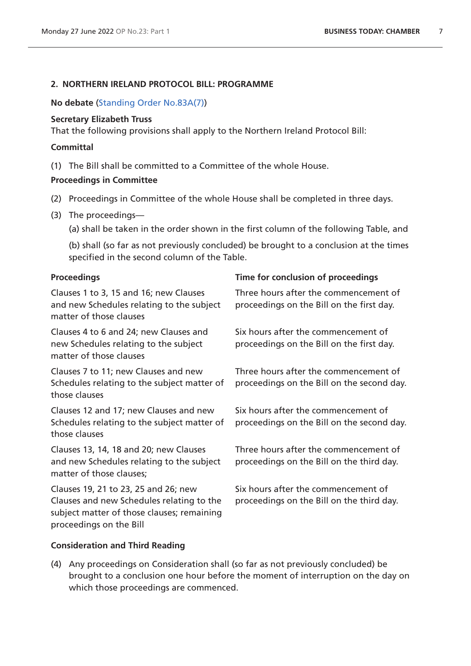## <span id="page-6-0"></span>**2. NORTHERN IRELAND PROTOCOL BILL: PROGRAMME**

## **No debate** ([Standing Order No.83A\(7\)](https://publications.parliament.uk/pa/cm5802/cmstords/so_804_2021/so-orders.html#so-9_83A(7)))

## **Secretary Elizabeth Truss**

That the following provisions shall apply to the Northern Ireland Protocol Bill:

## **Committal**

(1) The Bill shall be committed to a Committee of the whole House.

## **Proceedings in Committee**

- (2) Proceedings in Committee of the whole House shall be completed in three days.
- (3) The proceedings—

(a) shall be taken in the order shown in the first column of the following Table, and

(b) shall (so far as not previously concluded) be brought to a conclusion at the times specified in the second column of the Table.

| <b>Proceedings</b>                                                                                                              | Time for conclusion of proceedings                                                  |
|---------------------------------------------------------------------------------------------------------------------------------|-------------------------------------------------------------------------------------|
| Clauses 1 to 3, 15 and 16; new Clauses<br>and new Schedules relating to the subject<br>matter of those clauses                  | Three hours after the commencement of<br>proceedings on the Bill on the first day.  |
| Clauses 4 to 6 and 24; new Clauses and<br>new Schedules relating to the subject<br>matter of those clauses                      | Six hours after the commencement of<br>proceedings on the Bill on the first day.    |
| Clauses 7 to 11; new Clauses and new<br>Schedules relating to the subject matter of<br>those clauses                            | Three hours after the commencement of<br>proceedings on the Bill on the second day. |
| Clauses 12 and 17; new Clauses and new<br>Schedules relating to the subject matter of<br>those clauses                          | Six hours after the commencement of<br>proceedings on the Bill on the second day.   |
| Clauses 13, 14, 18 and 20; new Clauses<br>and new Schedules relating to the subject<br>matter of those clauses;                 | Three hours after the commencement of<br>proceedings on the Bill on the third day.  |
| Clauses 19, 21 to 23, 25 and 26; new<br>Clauses and new Schedules relating to the<br>subject matter of those clauses; remaining | Six hours after the commencement of<br>proceedings on the Bill on the third day.    |

# **Consideration and Third Reading**

proceedings on the Bill

(4) Any proceedings on Consideration shall (so far as not previously concluded) be brought to a conclusion one hour before the moment of interruption on the day on which those proceedings are commenced.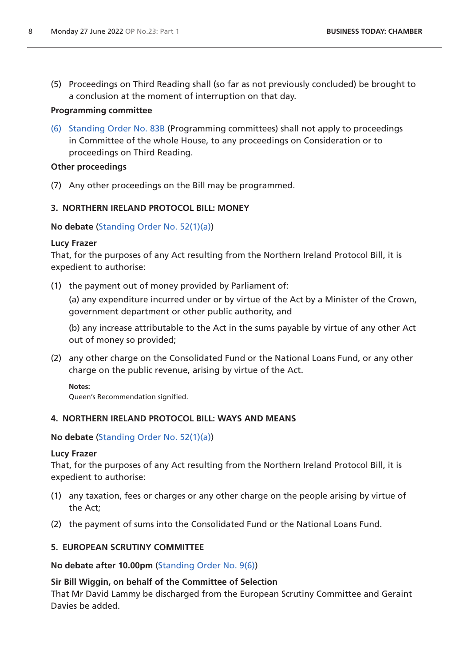(5) Proceedings on Third Reading shall (so far as not previously concluded) be brought to a conclusion at the moment of interruption on that day.

# **Programming committee**

(6) [Standing Order No. 83B](https://publications.parliament.uk/pa/cm5802/cmstords/so_804_2021/so-orders.html#so-83B) (Programming committees) shall not apply to proceedings in Committee of the whole House, to any proceedings on Consideration or to proceedings on Third Reading.

# **Other proceedings**

(7) Any other proceedings on the Bill may be programmed.

# <span id="page-7-0"></span>**3. NORTHERN IRELAND PROTOCOL BILL: MONEY**

# **No debate** ([Standing Order No. 52\(1\)\(a\)\)](https://publications.parliament.uk/pa/cm5802/cmstords/so_804_2021/so-orders.html#so-52_1_a)

# **Lucy Frazer**

That, for the purposes of any Act resulting from the Northern Ireland Protocol Bill, it is expedient to authorise:

(1) the payment out of money provided by Parliament of:

(a) any expenditure incurred under or by virtue of the Act by a Minister of the Crown, government department or other public authority, and

(b) any increase attributable to the Act in the sums payable by virtue of any other Act out of money so provided;

(2) any other charge on the Consolidated Fund or the National Loans Fund, or any other charge on the public revenue, arising by virtue of the Act.

# **Notes:**

<span id="page-7-1"></span>Queen's Recommendation signified.

# **4. NORTHERN IRELAND PROTOCOL BILL: WAYS AND MEANS**

# **No debate** ([Standing Order No. 52\(1\)\(a\)\)](https://publications.parliament.uk/pa/cm5802/cmstords/so_804_2021/so-orders.html#so-52_1_a)

# **Lucy Frazer**

That, for the purposes of any Act resulting from the Northern Ireland Protocol Bill, it is expedient to authorise:

- (1) any taxation, fees or charges or any other charge on the people arising by virtue of the Act;
- (2) the payment of sums into the Consolidated Fund or the National Loans Fund.

# <span id="page-7-2"></span>**5. EUROPEAN SCRUTINY COMMITTEE**

**No debate after 10.00pm** [\(Standing Order No. 9\(6\)](https://publications.parliament.uk/pa/cm5802/cmstords/so_804_2021/so-orders.html#so-9_6))

# **Sir Bill Wiggin, on behalf of the Committee of Selection**

That Mr David Lammy be discharged from the European Scrutiny Committee and Geraint Davies be added.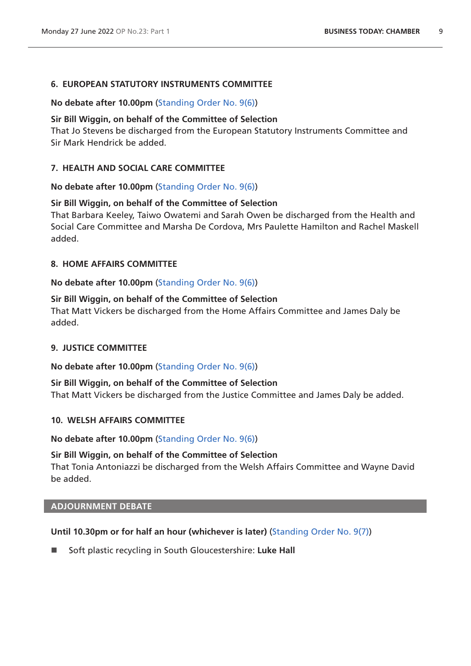## **6. EUROPEAN STATUTORY INSTRUMENTS COMMITTEE**

## **No debate after 10.00pm** [\(Standing Order No. 9\(6\)](https://publications.parliament.uk/pa/cm5802/cmstords/so_804_2021/so-orders.html#so-9_6))

#### **Sir Bill Wiggin, on behalf of the Committee of Selection**

That Jo Stevens be discharged from the European Statutory Instruments Committee and Sir Mark Hendrick be added.

## **7. HEALTH AND SOCIAL CARE COMMITTEE**

#### **No debate after 10.00pm** [\(Standing Order No. 9\(6\)](https://publications.parliament.uk/pa/cm5802/cmstords/so_804_2021/so-orders.html#so-9_6))

#### **Sir Bill Wiggin, on behalf of the Committee of Selection**

That Barbara Keeley, Taiwo Owatemi and Sarah Owen be discharged from the Health and Social Care Committee and Marsha De Cordova, Mrs Paulette Hamilton and Rachel Maskell added.

#### **8. HOME AFFAIRS COMMITTEE**

## **No debate after 10.00pm** [\(Standing Order No. 9\(6\)](https://publications.parliament.uk/pa/cm5802/cmstords/so_804_2021/so-orders.html#so-9_6))

#### **Sir Bill Wiggin, on behalf of the Committee of Selection**

That Matt Vickers be discharged from the Home Affairs Committee and James Daly be added.

#### **9. JUSTICE COMMITTEE**

#### **No debate after 10.00pm** [\(Standing Order No. 9\(6\)](https://publications.parliament.uk/pa/cm5802/cmstords/so_804_2021/so-orders.html#so-9_6))

**Sir Bill Wiggin, on behalf of the Committee of Selection** That Matt Vickers be discharged from the Justice Committee and James Daly be added.

#### **10. WELSH AFFAIRS COMMITTEE**

**No debate after 10.00pm** [\(Standing Order No. 9\(6\)](https://publications.parliament.uk/pa/cm5802/cmstords/so_804_2021/so-orders.html#so-9_6))

## **Sir Bill Wiggin, on behalf of the Committee of Selection**

That Tonia Antoniazzi be discharged from the Welsh Affairs Committee and Wayne David be added.

# <span id="page-8-0"></span>**ADJOURNMENT DEBATE**

## **Until 10.30pm or for half an hour (whichever is later)** [\(Standing Order No. 9\(7\)\)](https://publications.parliament.uk/pa/cm5802/cmstords/so_804_2021/so-orders.html#so-9_7)

■ Soft plastic recycling in South Gloucestershire: Luke Hall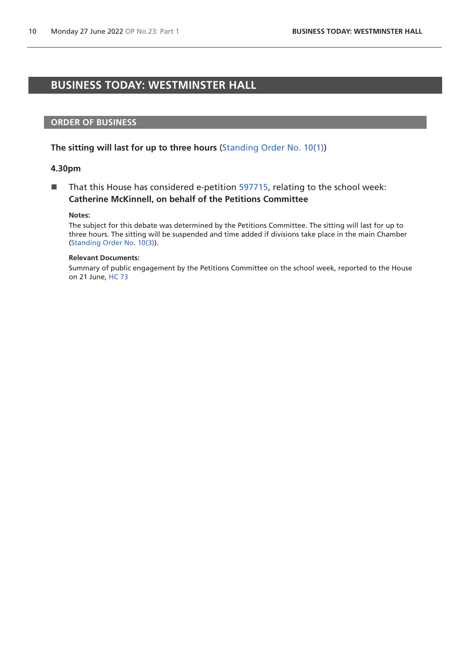# <span id="page-9-0"></span>**BUSINESS TODAY: WESTMINSTER HALL**

#### **ORDER OF BUSINESS**

#### **The sitting will last for up to three hours** [\(Standing Order No. 10\(1\)](https://publications.parliament.uk/pa/cm5802/cmstords/so_804_2021/so-orders.html#so-10_1))

#### **4.30pm**

 $\blacksquare$  That this House has considered e-petition [597715,](https://petition.parliament.uk/petitions/597715) relating to the school week: **Catherine McKinnell, on behalf of the Petitions Committee**

#### **Notes:**

The subject for this debate was determined by the Petitions Committee. The sitting will last for up to three hours. The sitting will be suspended and time added if divisions take place in the main Chamber [\(Standing Order No. 10\(3\)](https://publications.parliament.uk/pa/cm5802/cmstords/so_804_2021/so-orders.html#so-10_3)).

#### **Relevant Documents:**

Summary of public engagement by the Petitions Committee on the school week, reported to the House on 21 June, [HC 73](https://committees.parliament.uk/writtenevidence/109373/default/)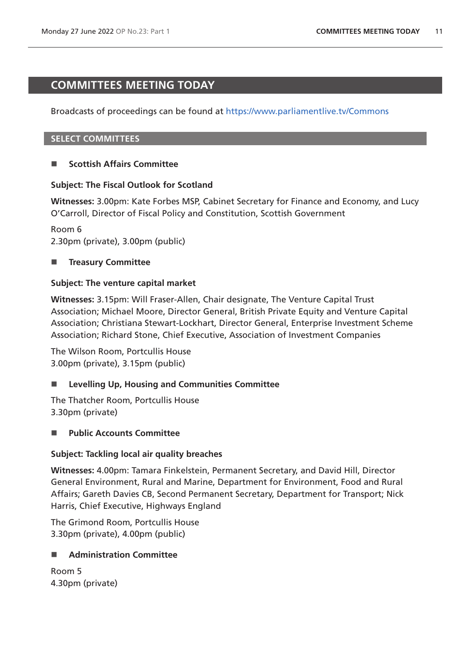# <span id="page-10-0"></span>**COMMITTEES MEETING TODAY**

Broadcasts of proceedings can be found at <https://www.parliamentlive.tv/Commons>

## **SELECT COMMITTEES**

# **Scottish Affairs Committee**

# **Subject: The Fiscal Outlook for Scotland**

**Witnesses:** 3.00pm: Kate Forbes MSP, Cabinet Secretary for Finance and Economy, and Lucy O'Carroll, Director of Fiscal Policy and Constitution, Scottish Government

Room 6 2.30pm (private), 3.00pm (public)

# **Treasury Committee**

## **Subject: The venture capital market**

**Witnesses:** 3.15pm: Will Fraser-Allen, Chair designate, The Venture Capital Trust Association; Michael Moore, Director General, British Private Equity and Venture Capital Association; Christiana Stewart-Lockhart, Director General, Enterprise Investment Scheme Association; Richard Stone, Chief Executive, Association of Investment Companies

The Wilson Room, Portcullis House 3.00pm (private), 3.15pm (public)

# **Levelling Up, Housing and Communities Committee**

The Thatcher Room, Portcullis House 3.30pm (private)

# **Public Accounts Committee**

## **Subject: Tackling local air quality breaches**

**Witnesses:** 4.00pm: Tamara Finkelstein, Permanent Secretary, and David Hill, Director General Environment, Rural and Marine, Department for Environment, Food and Rural Affairs; Gareth Davies CB, Second Permanent Secretary, Department for Transport; Nick Harris, Chief Executive, Highways England

The Grimond Room, Portcullis House 3.30pm (private), 4.00pm (public)

## **Administration Committee**

Room 5 4.30pm (private)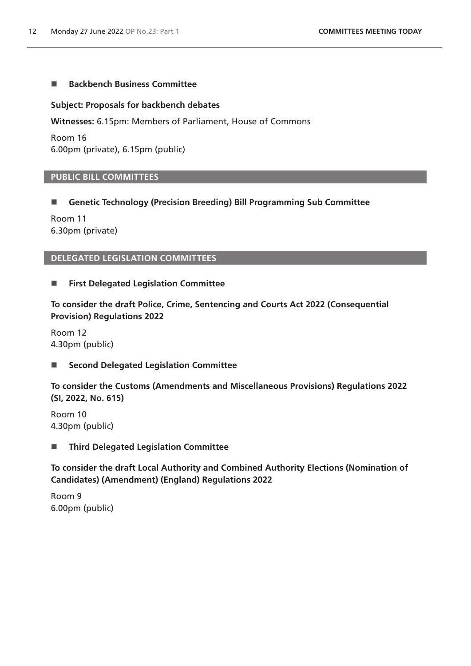# ■ Backbench Business Committee

## **Subject: Proposals for backbench debates**

**Witnesses:** 6.15pm: Members of Parliament, House of Commons

Room 16 6.00pm (private), 6.15pm (public)

## **PUBLIC BILL COMMITTEES**

# **Genetic Technology (Precision Breeding) Bill Programming Sub Committee**

Room 11 6.30pm (private)

# **DELEGATED LEGISLATION COMMITTEES**

## **First Delegated Legislation Committee**

**To consider the draft Police, Crime, Sentencing and Courts Act 2022 (Consequential Provision) Regulations 2022**

Room 12 4.30pm (public)

# ■ Second Delegated Legislation Committee

**To consider the Customs (Amendments and Miscellaneous Provisions) Regulations 2022 (SI, 2022, No. 615)**

Room 10 4.30pm (public)

**Third Delegated Legislation Committee**

**To consider the draft Local Authority and Combined Authority Elections (Nomination of Candidates) (Amendment) (England) Regulations 2022**

Room 9 6.00pm (public)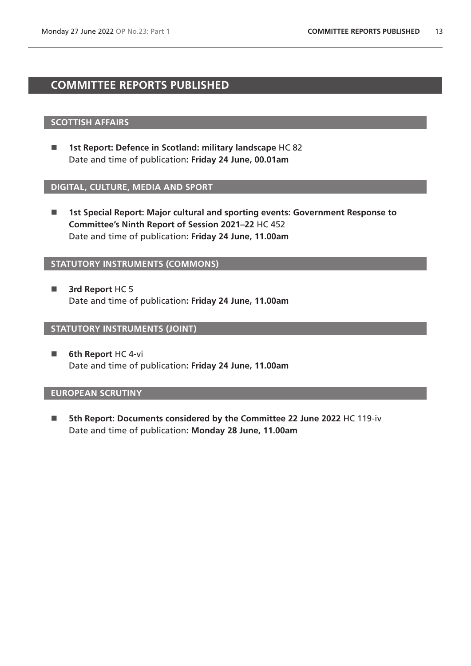# <span id="page-12-0"></span>**COMMITTEE REPORTS PUBLISHED**

## **SCOTTISH AFFAIRS**

■ 1st Report: Defence in Scotland: military landscape HC 82 Date and time of publication**: Friday 24 June, 00.01am**

#### **DIGITAL, CULTURE, MEDIA AND SPORT**

■ 1st Special Report: Major cultural and sporting events: Government Response to **Committee's Ninth Report of Session 2021–22** HC 452 Date and time of publication**: Friday 24 June, 11.00am**

# **STATUTORY INSTRUMENTS (COMMONS)**

**3rd Report HC 5** Date and time of publication**: Friday 24 June, 11.00am**

#### **STATUTORY INSTRUMENTS (JOINT)**

**6th Report HC 4-vi** Date and time of publication**: Friday 24 June, 11.00am**

## **EUROPEAN SCRUTINY**

 **5th Report: Documents considered by the Committee 22 June 2022** HC 119-iv Date and time of publication**: Monday 28 June, 11.00am**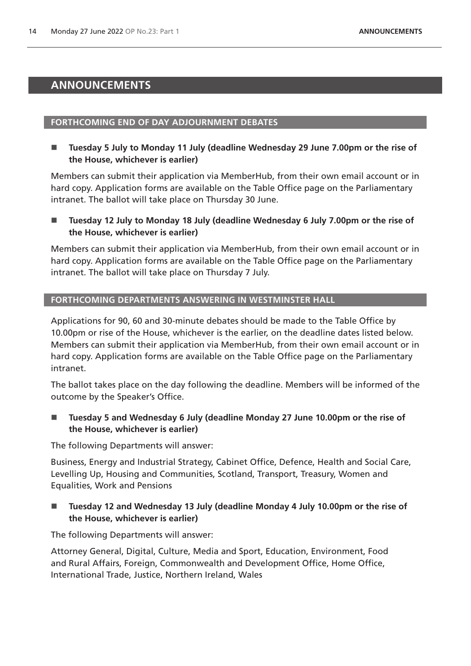# <span id="page-13-0"></span>**ANNOUNCEMENTS**

#### **FORTHCOMING END OF DAY ADJOURNMENT DEBATES**

■ Tuesday 5 July to Monday 11 July (deadline Wednesday 29 June 7.00pm or the rise of **the House, whichever is earlier)**

Members can submit their application via MemberHub, from their own email account or in hard copy. Application forms are available on the Table Office page on the Parliamentary intranet. The ballot will take place on Thursday 30 June.

■ Tuesday 12 July to Monday 18 July (deadline Wednesday 6 July 7.00pm or the rise of **the House, whichever is earlier)**

Members can submit their application via MemberHub, from their own email account or in hard copy. Application forms are available on the Table Office page on the Parliamentary intranet. The ballot will take place on Thursday 7 July.

## **FORTHCOMING DEPARTMENTS ANSWERING IN WESTMINSTER HALL**

Applications for 90, 60 and 30-minute debates should be made to the Table Office by 10.00pm or rise of the House, whichever is the earlier, on the deadline dates listed below. Members can submit their application via MemberHub, from their own email account or in hard copy. Application forms are available on the Table Office page on the Parliamentary intranet.

The ballot takes place on the day following the deadline. Members will be informed of the outcome by the Speaker's Office.

■ Tuesday 5 and Wednesday 6 July (deadline Monday 27 June 10.00pm or the rise of **the House, whichever is earlier)**

The following Departments will answer:

Business, Energy and Industrial Strategy, Cabinet Office, Defence, Health and Social Care, Levelling Up, Housing and Communities, Scotland, Transport, Treasury, Women and Equalities, Work and Pensions

# **Tuesday 12 and Wednesday 13 July (deadline Monday 4 July 10.00pm or the rise of the House, whichever is earlier)**

The following Departments will answer:

Attorney General, Digital, Culture, Media and Sport, Education, Environment, Food and Rural Affairs, Foreign, Commonwealth and Development Office, Home Office, International Trade, Justice, Northern Ireland, Wales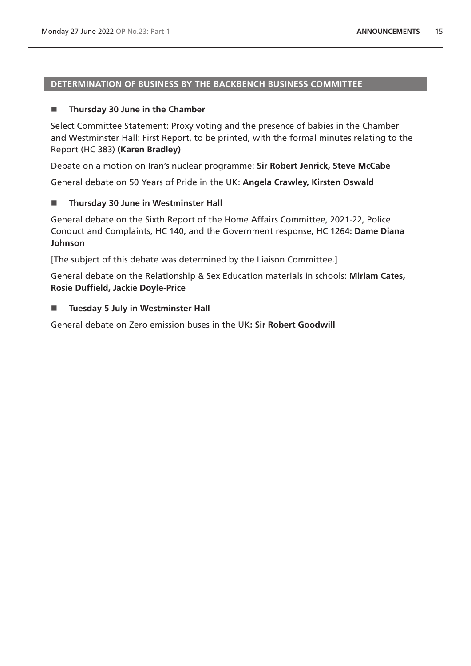# **DETERMINATION OF BUSINESS BY THE BACKBENCH BUSINESS COMMITTEE**

# **Thursday 30 June in the Chamber**

Select Committee Statement: Proxy voting and the presence of babies in the Chamber and Westminster Hall: First Report, to be printed, with the formal minutes relating to the Report (HC 383) **(Karen Bradley)**

Debate on a motion on Iran's nuclear programme: **Sir Robert Jenrick, Steve McCabe**

General debate on 50 Years of Pride in the UK: **Angela Crawley, Kirsten Oswald**

## **Thursday 30 June in Westminster Hall**

General debate on the Sixth Report of the Home Affairs Committee, 2021-22, Police Conduct and Complaints, HC 140, and the Government response, HC 1264**: Dame Diana Johnson**

[The subject of this debate was determined by the Liaison Committee.]

General debate on the Relationship & Sex Education materials in schools: **Miriam Cates, Rosie Duffield, Jackie Doyle-Price**

## ■ Tuesday 5 July in Westminster Hall

General debate on Zero emission buses in the UK**: Sir Robert Goodwill**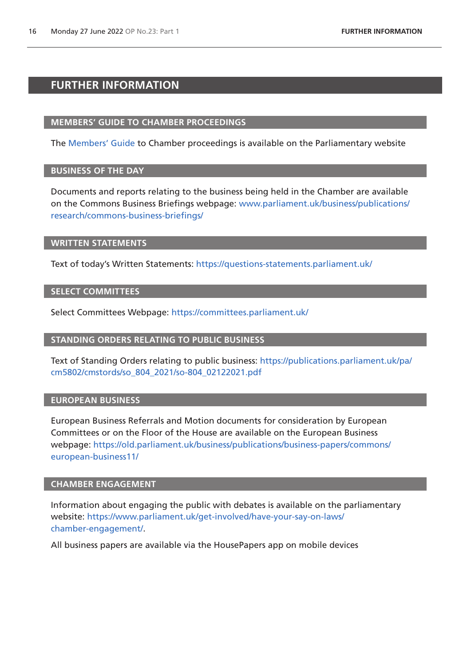# <span id="page-15-0"></span>**FURTHER INFORMATION**

#### **MEMBERS' GUIDE TO CHAMBER PROCEEDINGS**

The [Members' Guide](https://guidetoprocedure.parliament.uk/mps-guide-to-procedure) to Chamber proceedings is available on the Parliamentary website

## **BUSINESS OF THE DAY**

Documents and reports relating to the business being held in the Chamber are available on the Commons Business Briefings webpage: [www.parliament.uk/business/publications/](http://www.parliament.uk/business/publications/research/commons-business-briefings/) [research/commons-business-briefings/](http://www.parliament.uk/business/publications/research/commons-business-briefings/)

#### **WRITTEN STATEMENTS**

Text of today's Written Statements:<https://questions-statements.parliament.uk/>

#### **SELECT COMMITTEES**

Select Committees Webpage: <https://committees.parliament.uk/>

#### **STANDING ORDERS RELATING TO PUBLIC BUSINESS**

Text of Standing Orders relating to public business: [https://publications.parliament.uk/pa/](https://publications.parliament.uk/pa/cm5802/cmstords/so_804_2021/so-804_02122021.pdf) [cm5802/cmstords/so\\_804\\_2021/so-804\\_02122021.pdf](https://publications.parliament.uk/pa/cm5802/cmstords/so_804_2021/so-804_02122021.pdf)

## **EUROPEAN BUSINESS**

European Business Referrals and Motion documents for consideration by European Committees or on the Floor of the House are available on the European Business webpage: [https://old.parliament.uk/business/publications/business-papers/commons/](https://old.parliament.uk/business/publications/business-papers/commons/european-business11/) [european-business11/](https://old.parliament.uk/business/publications/business-papers/commons/european-business11/)

#### **CHAMBER ENGAGEMENT**

Information about engaging the public with debates is available on the parliamentary website: [https://www.parliament.uk/get-involved/have-your-say-on-laws/](https://www.parliament.uk/get-involved/have-your-say-on-laws/chamber-engagement/) [chamber-engagement/.](https://www.parliament.uk/get-involved/have-your-say-on-laws/chamber-engagement/)

All business papers are available via the HousePapers app on mobile devices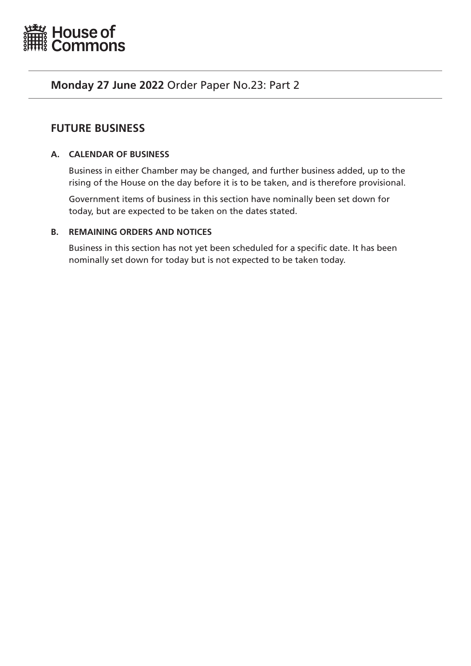<span id="page-16-0"></span>

# **Monday 27 June 2022** Order Paper No.23: Part 2

# **FUTURE BUSINESS**

# **A. CALENDAR OF BUSINESS**

Business in either Chamber may be changed, and further business added, up to the rising of the House on the day before it is to be taken, and is therefore provisional.

Government items of business in this section have nominally been set down for today, but are expected to be taken on the dates stated.

# **B. REMAINING ORDERS AND NOTICES**

Business in this section has not yet been scheduled for a specific date. It has been nominally set down for today but is not expected to be taken today.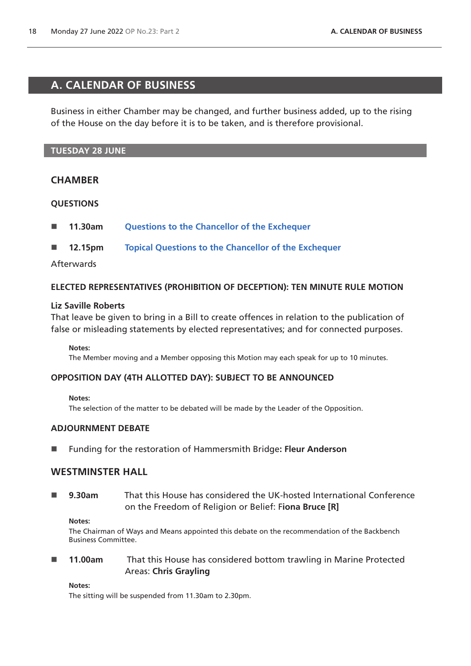# <span id="page-17-0"></span>**A. CALENDAR OF BUSINESS**

Business in either Chamber may be changed, and further business added, up to the rising of the House on the day before it is to be taken, and is therefore provisional.

# **TUESDAY 28 JUNE**

## **CHAMBER**

## **QUESTIONS**

- **11.30am [Questions to the Chancellor of the Exchequer](https://commonsbusiness.parliament.uk/Document/57614/Html?subType=Standard#anchor-4)**
- **12.15pm [Topical Questions to the Chancellor of the Exchequer](https://commonsbusiness.parliament.uk/Document/57614/Html?subType=Standard#anchor-5)**

## Afterwards

## **ELECTED REPRESENTATIVES (PROHIBITION OF DECEPTION): TEN MINUTE RULE MOTION**

#### **Liz Saville Roberts**

That leave be given to bring in a Bill to create offences in relation to the publication of false or misleading statements by elected representatives; and for connected purposes.

#### **Notes:**

The Member moving and a Member opposing this Motion may each speak for up to 10 minutes.

## **OPPOSITION DAY (4TH ALLOTTED DAY): SUBJECT TO BE ANNOUNCED**

#### **Notes:**

The selection of the matter to be debated will be made by the Leader of the Opposition.

#### **ADJOURNMENT DEBATE**

Funding for the restoration of Hammersmith Bridge**: Fleur Anderson**

# **WESTMINSTER HALL**

 **9.30am** That this House has considered the UK-hosted International Conference on the Freedom of Religion or Belief: F**iona Bruce [R]**

#### **Notes:**

The Chairman of Ways and Means appointed this debate on the recommendation of the Backbench Business Committee.

 **11.00am** That this House has considered bottom trawling in Marine Protected Areas: **Chris Grayling**

#### **Notes:**

The sitting will be suspended from 11.30am to 2.30pm.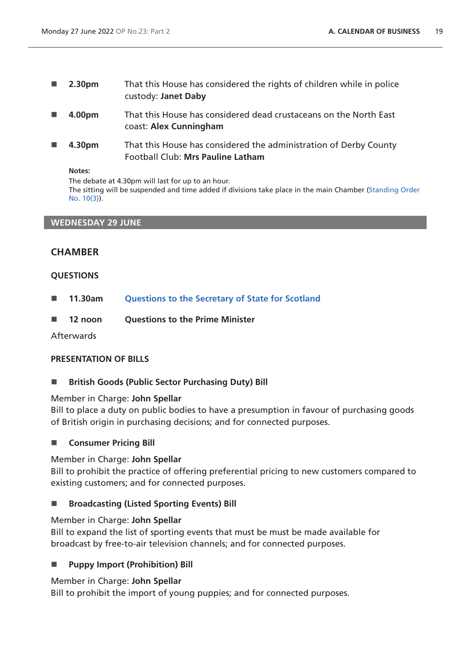- **2.30pm** That this House has considered the rights of children while in police custody: **Janet Daby**
- **4.00pm** That this House has considered dead crustaceans on the North East coast: **Alex Cunningham**
- **4.30pm** That this House has considered the administration of Derby County Football Club: **Mrs Pauline Latham**

#### **Notes:**

The debate at 4.30pm will last for up to an hour. The sitting will be suspended and time added if divisions take place in the main Chamber [\(Standing Order](https://publications.parliament.uk/pa/cm5802/cmstords/so_804_2021/so-orders.html#so-10_3)  [No. 10\(3\)](https://publications.parliament.uk/pa/cm5802/cmstords/so_804_2021/so-orders.html#so-10_3)).

## **WEDNESDAY 29 JUNE**

# **CHAMBER**

## **QUESTIONS**

- **11.30am [Questions to the Secretary of State for Scotland](https://commonsbusiness.parliament.uk/Document/57614/Html?subType=Standard#anchor-7)**
- 12 noon Ouestions to the Prime Minister

Afterwards

## **PRESENTATION OF BILLS**

**British Goods (Public Sector Purchasing Duty) Bill**

#### Member in Charge: **John Spellar**

Bill to place a duty on public bodies to have a presumption in favour of purchasing goods of British origin in purchasing decisions; and for connected purposes.

## **E** Consumer Pricing Bill

## Member in Charge: **John Spellar**

Bill to prohibit the practice of offering preferential pricing to new customers compared to existing customers; and for connected purposes.

## ■ Broadcasting (Listed Sporting Events) Bill

#### Member in Charge: **John Spellar**

Bill to expand the list of sporting events that must be must be made available for broadcast by free-to-air television channels; and for connected purposes.

## **Puppy Import (Prohibition) Bill**

#### Member in Charge: **John Spellar**

Bill to prohibit the import of young puppies; and for connected purposes.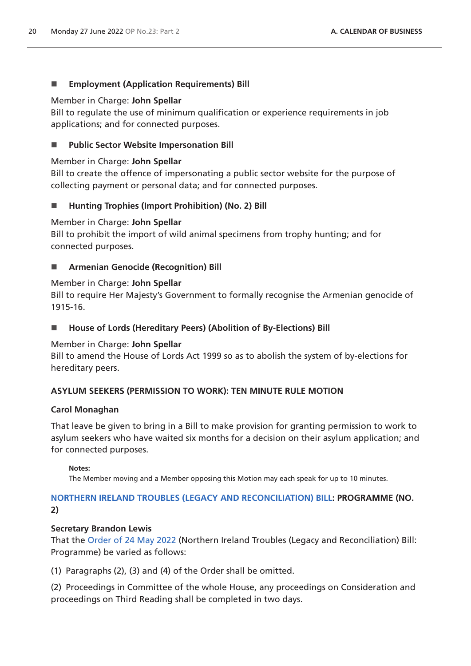# **Employment (Application Requirements) Bill**

## Member in Charge: **John Spellar**

Bill to regulate the use of minimum qualification or experience requirements in job applications; and for connected purposes.

# **Public Sector Website Impersonation Bill**

# Member in Charge: **John Spellar**

Bill to create the offence of impersonating a public sector website for the purpose of collecting payment or personal data; and for connected purposes.

# **Hunting Trophies (Import Prohibition) (No. 2) Bill**

## Member in Charge: **John Spellar**

Bill to prohibit the import of wild animal specimens from trophy hunting; and for connected purposes.

# **Armenian Genocide (Recognition) Bill**

## Member in Charge: **John Spellar**

Bill to require Her Majesty's Government to formally recognise the Armenian genocide of 1915-16.

■ House of Lords (Hereditary Peers) (Abolition of By-Elections) Bill

# Member in Charge: **John Spellar**

Bill to amend the House of Lords Act 1999 so as to abolish the system of by-elections for hereditary peers.

# **ASYLUM SEEKERS (PERMISSION TO WORK): TEN MINUTE RULE MOTION**

## **Carol Monaghan**

That leave be given to bring in a Bill to make provision for granting permission to work to asylum seekers who have waited six months for a decision on their asylum application; and for connected purposes.

## **Notes:**

The Member moving and a Member opposing this Motion may each speak for up to 10 minutes.

# **[NORTHERN IRELAND TROUBLES \(LEGACY AND RECONCILIATION\) BILL](https://publications.parliament.uk/pa/bills/cbill/58-03/0010/220010.pdf): PROGRAMME (NO. 2)**

## **Secretary Brandon Lewis**

That the [Order of 24 May 2022](https://commonsbusiness.parliament.uk/Document/56961/Pdf?subType=Standard) (Northern Ireland Troubles (Legacy and Reconciliation) Bill: Programme) be varied as follows:

(1) Paragraphs (2), (3) and (4) of the Order shall be omitted.

(2) Proceedings in Committee of the whole House, any proceedings on Consideration and proceedings on Third Reading shall be completed in two days.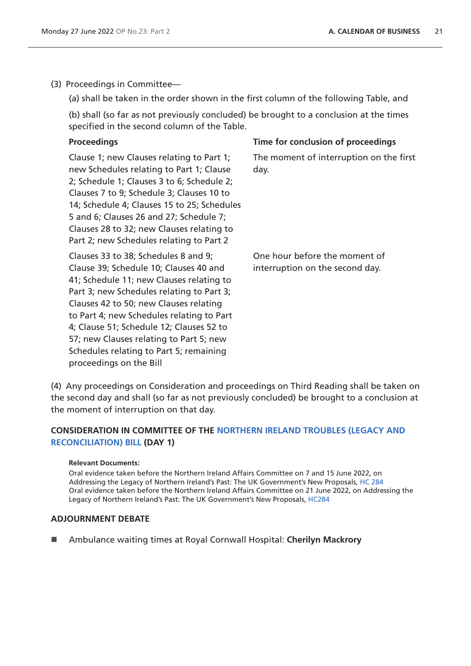(3) Proceedings in Committee—

(a) shall be taken in the order shown in the first column of the following Table, and

(b) shall (so far as not previously concluded) be brought to a conclusion at the times specified in the second column of the Table.

| <b>Proceedings</b>                                                                                                                                                                                                                                                                                                                                                                                                          | Time for conclusion of proceedings                               |
|-----------------------------------------------------------------------------------------------------------------------------------------------------------------------------------------------------------------------------------------------------------------------------------------------------------------------------------------------------------------------------------------------------------------------------|------------------------------------------------------------------|
| Clause 1; new Clauses relating to Part 1;<br>new Schedules relating to Part 1; Clause<br>2; Schedule 1; Clauses 3 to 6; Schedule 2;<br>Clauses 7 to 9; Schedule 3; Clauses 10 to<br>14; Schedule 4; Clauses 15 to 25; Schedules<br>5 and 6; Clauses 26 and 27; Schedule 7;<br>Clauses 28 to 32; new Clauses relating to<br>Part 2; new Schedules relating to Part 2                                                         | The moment of interruption on the first<br>day.                  |
| Clauses 33 to 38; Schedules 8 and 9;<br>Clause 39; Schedule 10; Clauses 40 and<br>41; Schedule 11; new Clauses relating to<br>Part 3; new Schedules relating to Part 3;<br>Clauses 42 to 50; new Clauses relating<br>to Part 4; new Schedules relating to Part<br>4; Clause 51; Schedule 12; Clauses 52 to<br>57; new Clauses relating to Part 5; new<br>Schedules relating to Part 5; remaining<br>proceedings on the Bill | One hour before the moment of<br>interruption on the second day. |

(4) Any proceedings on Consideration and proceedings on Third Reading shall be taken on the second day and shall (so far as not previously concluded) be brought to a conclusion at the moment of interruption on that day.

# **CONSIDERATION IN COMMITTEE OF THE [NORTHERN IRELAND TROUBLES \(LEGACY AND](https://publications.parliament.uk/pa/bills/cbill/58-03/0010/220010.pdf)  [RECONCILIATION\) BILL](https://publications.parliament.uk/pa/bills/cbill/58-03/0010/220010.pdf) (DAY 1)**

#### **Relevant Documents:**

Oral evidence taken before the Northern Ireland Affairs Committee on 7 and 15 June 2022, on Addressing the Legacy of Northern Ireland's Past: The UK Government's New Proposals, [HC 284](https://committees.parliament.uk/work/282/addressing-the-legacy-of-northern-irelands-past-the-uk-governments-new-proposals/publications/oral-evidence/?SearchTerm=&DateFrom=07%2F06%2F2022&DateTo=16%2F06%2F2022&SessionId=) Oral evidence taken before the Northern Ireland Affairs Committee on 21 June 2022, on Addressing the Legacy of Northern Ireland's Past: The UK Government's New Proposals, [HC284](https://committees.parliament.uk/work/282/addressing-the-legacy-of-northern-irelands-past-the-uk-governments-new-proposals/publications/oral-evidence/?SearchTerm=&DateFrom=07%2F06%2F2022&DateTo=16%2F06%2F2022&SessionId=)

## **ADJOURNMENT DEBATE**

Ambulance waiting times at Royal Cornwall Hospital: **Cherilyn Mackrory**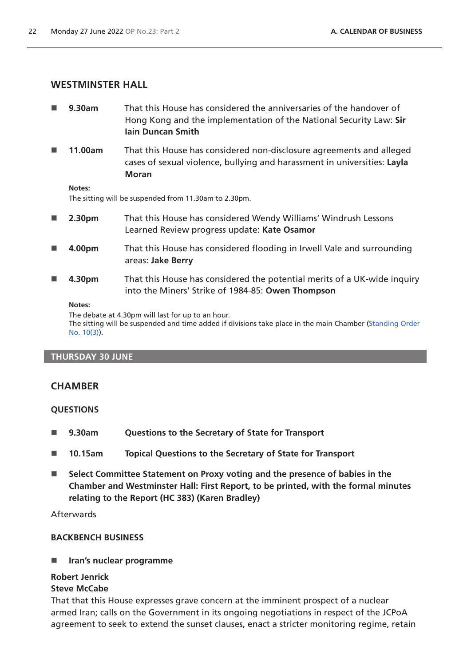# **WESTMINSTER HALL**

- **9.30am** That this House has considered the anniversaries of the handover of Hong Kong and the implementation of the National Security Law: **Sir Iain Duncan Smith**
- **11.00am** That this House has considered non-disclosure agreements and alleged cases of sexual violence, bullying and harassment in universities: **Layla Moran**

**Notes:**

The sitting will be suspended from 11.30am to 2.30pm.

- **2.30pm** That this House has considered Wendy Williams' Windrush Lessons Learned Review progress update: **Kate Osamor**
- **4.00pm** That this House has considered flooding in Irwell Vale and surrounding areas: **Jake Berry**
- **4.30pm** That this House has considered the potential merits of a UK-wide inquiry into the Miners' Strike of 1984-85: **Owen Thompson**

#### **Notes:**

The debate at 4.30pm will last for up to an hour.

The sitting will be suspended and time added if divisions take place in the main Chamber [\(Standing Order](https://publications.parliament.uk/pa/cm5802/cmstords/so_804_2021/so-orders.html#so-10_3)  [No. 10\(3\)](https://publications.parliament.uk/pa/cm5802/cmstords/so_804_2021/so-orders.html#so-10_3)).

## **THURSDAY 30 JUNE**

# **CHAMBER**

## **QUESTIONS**

- **9.30am Questions to the Secretary of State for Transport**
- **10.15am Topical Questions to the Secretary of State for Transport**
- **Select Committee Statement on Proxy voting and the presence of babies in the Chamber and Westminster Hall: First Report, to be printed, with the formal minutes relating to the Report (HC 383) (Karen Bradley)**

**Afterwards** 

## **BACKBENCH BUSINESS**

**Iran's nuclear programme**

## **Robert Jenrick**

## **Steve McCabe**

That that this House expresses grave concern at the imminent prospect of a nuclear armed Iran; calls on the Government in its ongoing negotiations in respect of the JCPoA agreement to seek to extend the sunset clauses, enact a stricter monitoring regime, retain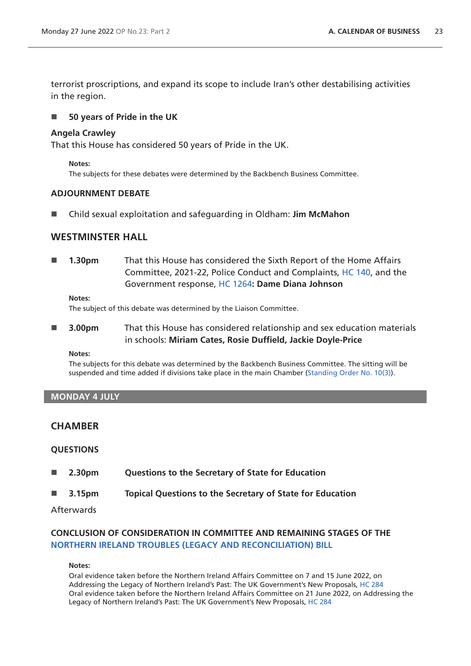terrorist proscriptions, and expand its scope to include Iran's other destabilising activities in the region.

#### **50 years of Pride in the UK**

#### **Angela Crawley**

That this House has considered 50 years of Pride in the UK.

**Notes:** 

The subjects for these debates were determined by the Backbench Business Committee.

#### **ADJOURNMENT DEBATE**

Child sexual exploitation and safeguarding in Oldham: **Jim McMahon**

## **WESTMINSTER HALL**

 **1.30pm** That this House has considered the Sixth Report of the Home Affairs Committee, 2021-22, Police Conduct and Complaints, [HC 140](https://committees.parliament.uk/publications/9006/documents/166181/default/), and the Government response, [HC 1264](https://committees.parliament.uk/publications/22040/documents/165761/default/)**: Dame Diana Johnson**

**Notes:**

The subject of this debate was determined by the Liaison Committee.

 **3.00pm** That this House has considered relationship and sex education materials in schools: **Miriam Cates, Rosie Duffield, Jackie Doyle-Price**

**Notes:** 

The subjects for this debate was determined by the Backbench Business Committee. The sitting will be suspended and time added if divisions take place in the main Chamber [\(Standing Order No. 10\(3\)](https://publications.parliament.uk/pa/cm5802/cmstords/so_804_2021/so-orders.html#so-10_3)).

#### **MONDAY 4 JULY**

# **CHAMBER**

#### **QUESTIONS**

- **2.30pm Questions to the Secretary of State for Education**
- **3.15pm Topical Questions to the Secretary of State for Education**

Afterwards

# **CONCLUSION OF CONSIDERATION IN COMMITTEE AND REMAINING STAGES OF THE [NORTHERN IRELAND TROUBLES \(LEGACY AND RECONCILIATION\) BILL](https://publications.parliament.uk/pa/bills/cbill/58-03/0010/220010.pdf)**

#### **Notes:**

Oral evidence taken before the Northern Ireland Affairs Committee on 7 and 15 June 2022, on Addressing the Legacy of Northern Ireland's Past: The UK Government's New Proposals, [HC 284](https://committees.parliament.uk/work/282/addressing-the-legacy-of-northern-irelands-past-the-uk-governments-new-proposals/publications/oral-evidence/?SearchTerm=&DateFrom=07%2F06%2F2022&DateTo=16%2F06%2F2022&SessionId=) Oral evidence taken before the Northern Ireland Affairs Committee on 21 June 2022, on Addressing the Legacy of Northern Ireland's Past: The UK Government's New Proposals, [HC 284](https://committees.parliament.uk/work/282/addressing-the-legacy-of-northern-irelands-past-the-uk-governments-new-proposals/publications/oral-evidence/?SearchTerm=&DateFrom=07%2F06%2F2022&DateTo=16%2F06%2F2022&SessionId=)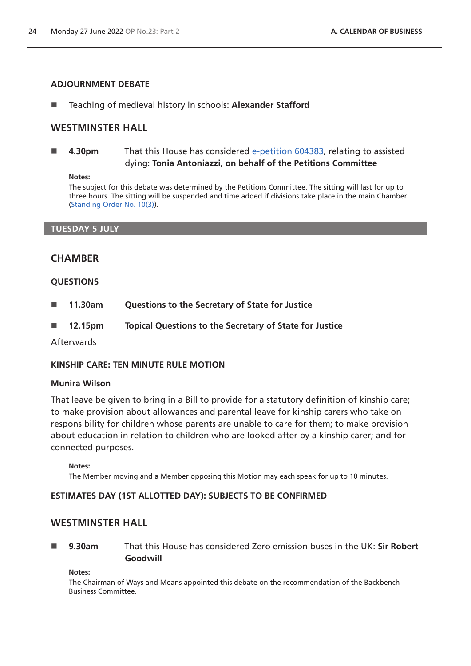#### **ADJOURNMENT DEBATE**

■ Teaching of medieval history in schools: Alexander Stafford

## **WESTMINSTER HALL**

 **4.30pm** That this House has considered [e-petition 604383](https://petition.parliament.uk/petitions/604383), relating to assisted dying: **Tonia Antoniazzi, on behalf of the Petitions Committee**

#### **Notes:**

The subject for this debate was determined by the Petitions Committee. The sitting will last for up to three hours. The sitting will be suspended and time added if divisions take place in the main Chamber [\(Standing Order No. 10\(3\)](https://publications.parliament.uk/pa/cm5802/cmstords/so_804_2021/so-orders.html#so-10_3)).

#### **TUESDAY 5 JULY**

## **CHAMBER**

#### **QUESTIONS**

- **11.30am Questions to the Secretary of State for Justice**
- **12.15pm Topical Questions to the Secretary of State for Justice**

Afterwards

#### **KINSHIP CARE: TEN MINUTE RULE MOTION**

#### **Munira Wilson**

That leave be given to bring in a Bill to provide for a statutory definition of kinship care; to make provision about allowances and parental leave for kinship carers who take on responsibility for children whose parents are unable to care for them; to make provision about education in relation to children who are looked after by a kinship carer; and for connected purposes.

**Notes:**

The Member moving and a Member opposing this Motion may each speak for up to 10 minutes.

# **ESTIMATES DAY (1ST ALLOTTED DAY): SUBJECTS TO BE CONFIRMED**

# **WESTMINSTER HALL**

 **9.30am** That this House has considered Zero emission buses in the UK: **Sir Robert Goodwill**

**Notes:** 

The Chairman of Ways and Means appointed this debate on the recommendation of the Backbench Business Committee.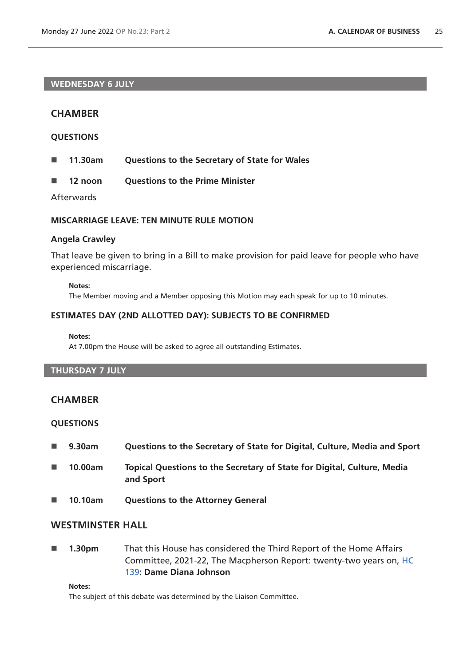# **WEDNESDAY 6 JULY**

## **CHAMBER**

#### **QUESTIONS**

- **11.30am Questions to the Secretary of State for Wales**
- **12 noon Questions to the Prime Minister**

Afterwards

## **MISCARRIAGE LEAVE: TEN MINUTE RULE MOTION**

#### **Angela Crawley**

That leave be given to bring in a Bill to make provision for paid leave for people who have experienced miscarriage.

#### **Notes:**

The Member moving and a Member opposing this Motion may each speak for up to 10 minutes.

#### **ESTIMATES DAY (2ND ALLOTTED DAY): SUBJECTS TO BE CONFIRMED**

#### **Notes:**

At 7.00pm the House will be asked to agree all outstanding Estimates.

# **THURSDAY 7 JULY**

#### **CHAMBER**

#### **QUESTIONS**

- **9.30am Questions to the Secretary of State for Digital, Culture, Media and Sport**
- **10.00am Topical Questions to the Secretary of State for Digital, Culture, Media and Sport**
- **10.10am Questions to the Attorney General**

# **WESTMINSTER HALL**

**1.30pm** That this House has considered the Third Report of the Home Affairs Committee, 2021-22, The Macpherson Report: twenty-two years on, [HC](https://committees.parliament.uk/publications/7012/documents/89144/default/)  [139](https://committees.parliament.uk/publications/7012/documents/89144/default/)**: Dame Diana Johnson**

#### **Notes:**

The subject of this debate was determined by the Liaison Committee.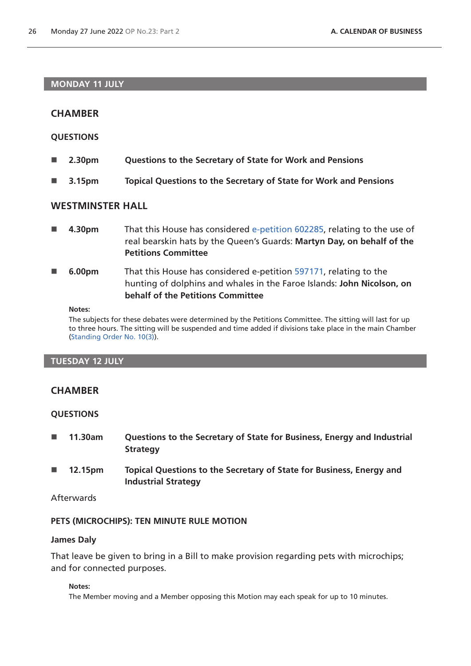## **MONDAY 11 JULY**

# **CHAMBER**

## **QUESTIONS**

- **2.30pm Questions to the Secretary of State for Work and Pensions**
- **3.15pm Topical Questions to the Secretary of State for Work and Pensions**

# **WESTMINSTER HALL**

- **4.30pm** That this House has considered [e-petition 602285](https://petition.parliament.uk/petitions/602285), relating to the use of real bearskin hats by the Queen's Guards: **Martyn Day, on behalf of the Petitions Committee**
- **6.00pm** That this House has considered e-petition [597171](https://petition.parliament.uk/petitions/597171), relating to the hunting of dolphins and whales in the Faroe Islands: **John Nicolson, on behalf of the Petitions Committee**

#### **Notes:**

The subjects for these debates were determined by the Petitions Committee. The sitting will last for up to three hours. The sitting will be suspended and time added if divisions take place in the main Chamber [\(Standing Order No. 10\(3\)](https://publications.parliament.uk/pa/cm5802/cmstords/so_804_2021/so-orders.html#so-10_3)).

#### **TUESDAY 12 JULY**

# **CHAMBER**

## **QUESTIONS**

- **11.30am Questions to the Secretary of State for Business, Energy and Industrial Strategy**
- **12.15pm Topical Questions to the Secretary of State for Business, Energy and Industrial Strategy**

# Afterwards

## **PETS (MICROCHIPS): TEN MINUTE RULE MOTION**

#### **James Daly**

That leave be given to bring in a Bill to make provision regarding pets with microchips; and for connected purposes.

#### **Notes:**

The Member moving and a Member opposing this Motion may each speak for up to 10 minutes.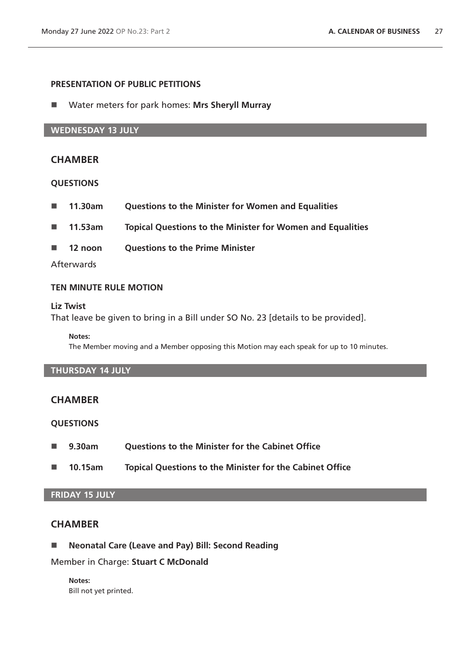## **PRESENTATION OF PUBLIC PETITIONS**

Water meters for park homes: **Mrs Sheryll Murray**

#### **WEDNESDAY 13 JULY**

## **CHAMBER**

#### **QUESTIONS**

- **11.30am Questions to the Minister for Women and Equalities**
- **11.53am Topical Questions to the Minister for Women and Equalities**
- 12 noon Ouestions to the Prime Minister

#### **Afterwards**

#### **TEN MINUTE RULE MOTION**

#### **Liz Twist**

That leave be given to bring in a Bill under SO No. 23 [details to be provided].

#### **Notes:**

The Member moving and a Member opposing this Motion may each speak for up to 10 minutes.

# **THURSDAY 14 JULY**

#### **CHAMBER**

## **QUESTIONS**

- **9.30am Questions to the Minister for the Cabinet Office**
- **10.15am Topical Questions to the Minister for the Cabinet Office**

## **FRIDAY 15 JULY**

# **CHAMBER**

**Neonatal Care (Leave and Pay) Bill: Second Reading**

Member in Charge: **Stuart C McDonald**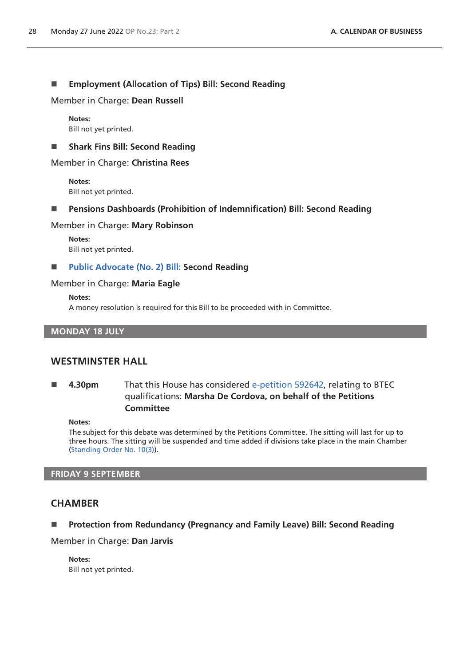# **Employment (Allocation of Tips) Bill: Second Reading**

Member in Charge: **Dean Russell**

**Notes:** Bill not yet printed.

**Fig. 3 Shark Fins Bill: Second Reading** 

#### Member in Charge: **Christina Rees**

**Notes:** Bill not yet printed.

#### **Pensions Dashboards (Prohibition of Indemnification) Bill: Second Reading**

#### Member in Charge: **Mary Robinson**

**Notes:** Bill not yet printed.

#### **[Public Advocate \(No. 2\) Bill: S](https://publications.parliament.uk/pa/bills/cbill/58-03/0047/220047.pdf)econd Reading**

#### Member in Charge: **Maria Eagle**

#### **Notes:**

A money resolution is required for this Bill to be proceeded with in Committee.

## **MONDAY 18 JULY**

# **WESTMINSTER HALL**

# **4.30pm** That this House has considered [e-petition 592642](https://petition.parliament.uk/petitions/592642), relating to BTEC qualifications: **Marsha De Cordova, on behalf of the Petitions Committee**

#### **Notes:**

The subject for this debate was determined by the Petitions Committee. The sitting will last for up to three hours. The sitting will be suspended and time added if divisions take place in the main Chamber [\(Standing Order No. 10\(3\)](https://publications.parliament.uk/pa/cm5802/cmstords/so_804_2021/so-orders.html#so-10_3)).

## **FRIDAY 9 SEPTEMBER**

## **CHAMBER**

## **Protection from Redundancy (Pregnancy and Family Leave) Bill: Second Reading**

#### Member in Charge: **Dan Jarvis**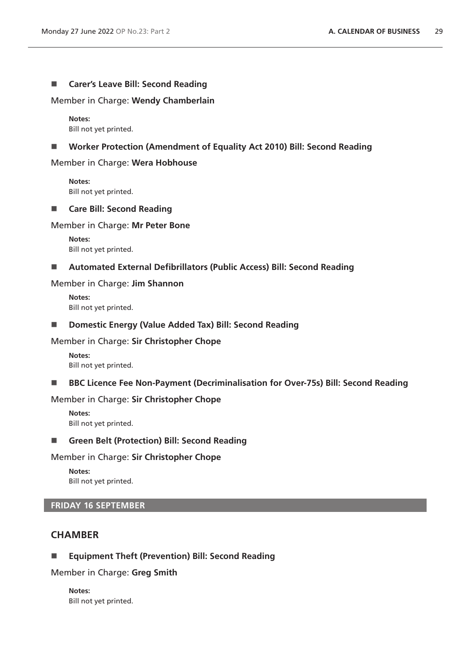## ■ **Carer's Leave Bill: Second Reading**

Member in Charge: **Wendy Chamberlain**

**Notes:** Bill not yet printed.

#### ■ Worker Protection (Amendment of Equality Act 2010) Bill: Second Reading

#### Member in Charge: **Wera Hobhouse**

**Notes:** Bill not yet printed.

#### **Care Bill: Second Reading**

#### Member in Charge: **Mr Peter Bone**

**Notes:** Bill not yet printed.

#### **Automated External Defibrillators (Public Access) Bill: Second Reading**

#### Member in Charge: **Jim Shannon**

**Notes:** Bill not yet printed.

#### ■ **Domestic Energy (Value Added Tax) Bill: Second Reading**

#### Member in Charge: **Sir Christopher Chope**

**Notes:** Bill not yet printed.

#### ■ BBC Licence Fee Non-Payment (Decriminalisation for Over-75s) Bill: Second Reading

#### Member in Charge: **Sir Christopher Chope**

**Notes:** Bill not yet printed.

#### **Green Belt (Protection) Bill: Second Reading**

#### Member in Charge: **Sir Christopher Chope**

**Notes:** Bill not yet printed.

# **FRIDAY 16 SEPTEMBER**

# **CHAMBER**

## **Equipment Theft (Prevention) Bill: Second Reading**

Member in Charge: **Greg Smith**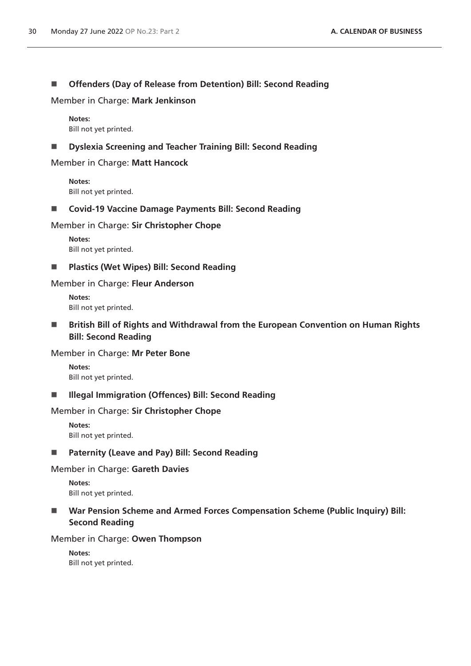# **Offenders (Day of Release from Detention) Bill: Second Reading**

Member in Charge: **Mark Jenkinson**

**Notes:** Bill not yet printed.

## **Dyslexia Screening and Teacher Training Bill: Second Reading**

Member in Charge: **Matt Hancock**

**Notes:** Bill not yet printed.

## ■ Covid-19 Vaccine Damage Payments Bill: Second Reading

## Member in Charge: **Sir Christopher Chope**

**Notes:** Bill not yet printed.

**Plastics (Wet Wipes) Bill: Second Reading**

## Member in Charge: **Fleur Anderson**

**Notes:** Bill not yet printed.

■ British Bill of Rights and Withdrawal from the European Convention on Human Rights **Bill: Second Reading**

## Member in Charge: **Mr Peter Bone**

**Notes:** Bill not yet printed.

## **III** Illegal Immigration (Offences) Bill: Second Reading

## Member in Charge: **Sir Christopher Chope**

**Notes:** Bill not yet printed.

## **Paternity (Leave and Pay) Bill: Second Reading**

## Member in Charge: **Gareth Davies**

**Notes:** Bill not yet printed.

# ■ War Pension Scheme and Armed Forces Compensation Scheme (Public Inquiry) Bill: **Second Reading**

## Member in Charge: **Owen Thompson**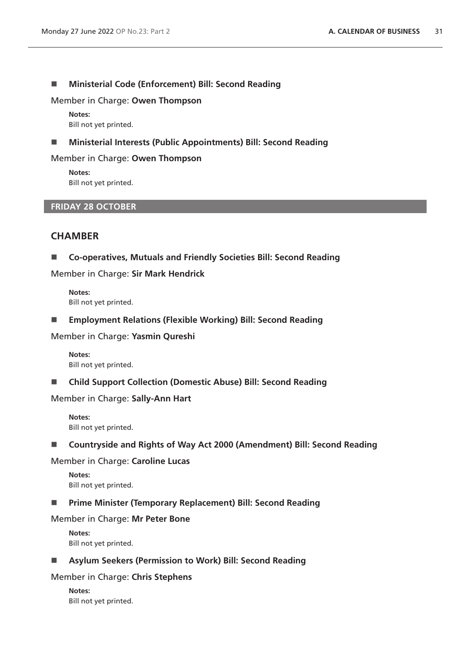#### **Ministerial Code (Enforcement) Bill: Second Reading**

#### Member in Charge: **Owen Thompson**

**Notes:** Bill not yet printed.

#### **Ministerial Interests (Public Appointments) Bill: Second Reading**

#### Member in Charge: **Owen Thompson**

**Notes:** Bill not yet printed.

#### **FRIDAY 28 OCTOBER**

# **CHAMBER**

**Co-operatives, Mutuals and Friendly Societies Bill: Second Reading**

Member in Charge: **Sir Mark Hendrick**

**Notes:** Bill not yet printed.

**Employment Relations (Flexible Working) Bill: Second Reading**

Member in Charge: **Yasmin Qureshi**

**Notes:** Bill not yet printed.

**Child Support Collection (Domestic Abuse) Bill: Second Reading**

Member in Charge: **Sally-Ann Hart**

**Notes:** Bill not yet printed.

■ Countryside and Rights of Way Act 2000 (Amendment) Bill: Second Reading

Member in Charge: **Caroline Lucas**

**Notes:** Bill not yet printed.

## **Prime Minister (Temporary Replacement) Bill: Second Reading**

Member in Charge: **Mr Peter Bone**

**Notes:** Bill not yet printed.

**Asylum Seekers (Permission to Work) Bill: Second Reading**

Member in Charge: **Chris Stephens**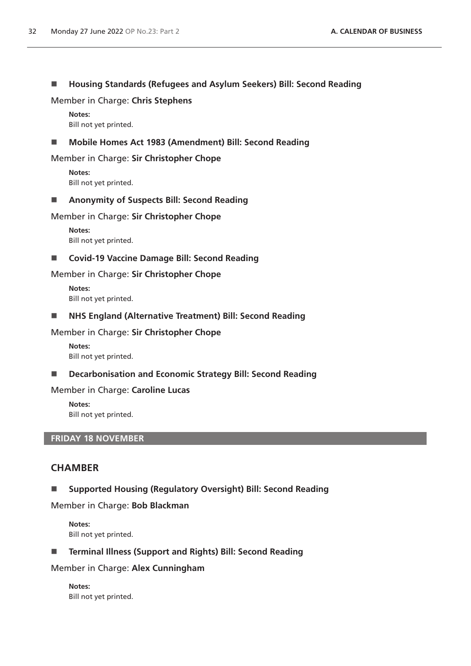## **Housing Standards (Refugees and Asylum Seekers) Bill: Second Reading**

Member in Charge: **Chris Stephens**

**Notes:** Bill not yet printed.

## **Mobile Homes Act 1983 (Amendment) Bill: Second Reading**

Member in Charge: **Sir Christopher Chope**

**Notes:** Bill not yet printed.

#### **Anonymity of Suspects Bill: Second Reading**

Member in Charge: **Sir Christopher Chope**

**Notes:** Bill not yet printed.

■ Covid-19 Vaccine Damage Bill: Second Reading

## Member in Charge: **Sir Christopher Chope**

**Notes:** Bill not yet printed.

**NHS England (Alternative Treatment) Bill: Second Reading**

#### Member in Charge: **Sir Christopher Chope**

**Notes:** Bill not yet printed.

**Decarbonisation and Economic Strategy Bill: Second Reading**

#### Member in Charge: **Caroline Lucas**

**Notes:** Bill not yet printed.

## **FRIDAY 18 NOVEMBER**

# **CHAMBER**

**Supported Housing (Regulatory Oversight) Bill: Second Reading**

#### Member in Charge: **Bob Blackman**

**Notes:** Bill not yet printed.

**Terminal Illness (Support and Rights) Bill: Second Reading**

## Member in Charge: **Alex Cunningham**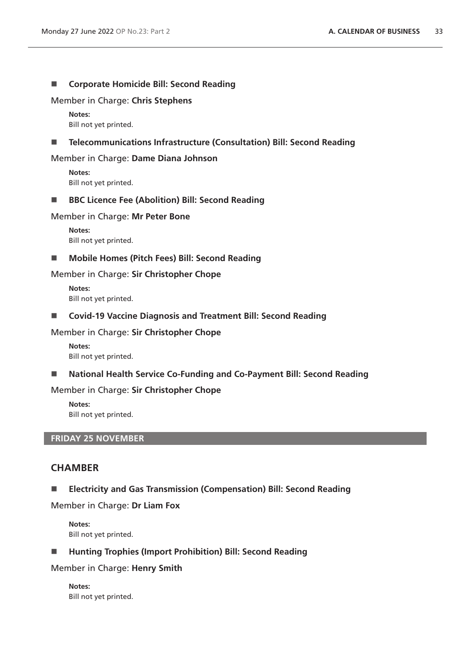#### ■ Corporate Homicide Bill: Second Reading

#### Member in Charge: **Chris Stephens**

**Notes:** Bill not yet printed.

#### **Telecommunications Infrastructure (Consultation) Bill: Second Reading**

#### Member in Charge: **Dame Diana Johnson**

**Notes:** Bill not yet printed.

#### ■ BBC Licence Fee (Abolition) Bill: Second Reading

Member in Charge: **Mr Peter Bone**

**Notes:** Bill not yet printed.

#### **Mobile Homes (Pitch Fees) Bill: Second Reading**

#### Member in Charge: **Sir Christopher Chope**

**Notes:** Bill not yet printed.

**Covid-19 Vaccine Diagnosis and Treatment Bill: Second Reading**

#### Member in Charge: **Sir Christopher Chope**

**Notes:** Bill not yet printed.

■ National Health Service Co-Funding and Co-Payment Bill: Second Reading

#### Member in Charge: **Sir Christopher Chope**

**Notes:** Bill not yet printed.

# **FRIDAY 25 NOVEMBER**

# **CHAMBER**

**Electricity and Gas Transmission (Compensation) Bill: Second Reading**

Member in Charge: **Dr Liam Fox**

**Notes:** Bill not yet printed.

■ Hunting Trophies (Import Prohibition) Bill: Second Reading

#### Member in Charge: **Henry Smith**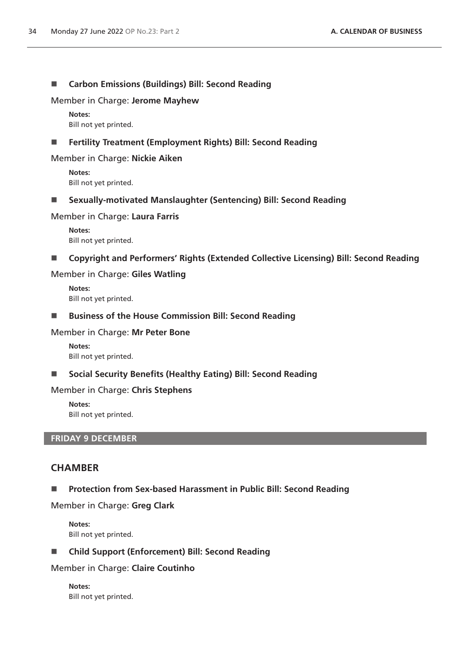## **Carbon Emissions (Buildings) Bill: Second Reading**

Member in Charge: **Jerome Mayhew**

**Notes:** Bill not yet printed.

## **Fertility Treatment (Employment Rights) Bill: Second Reading**

#### Member in Charge: **Nickie Aiken**

**Notes:** Bill not yet printed.

**Sexually-motivated Manslaughter (Sentencing) Bill: Second Reading**

Member in Charge: **Laura Farris**

**Notes:** Bill not yet printed.

■ Copyright and Performers' Rights (Extended Collective Licensing) Bill: Second Reading

#### Member in Charge: **Giles Watling**

**Notes:** Bill not yet printed.

■ Business of the House Commission Bill: Second Reading

#### Member in Charge: **Mr Peter Bone**

**Notes:** Bill not yet printed.

■ Social Security Benefits (Healthy Eating) Bill: Second Reading

#### Member in Charge: **Chris Stephens**

**Notes:** Bill not yet printed.

## **FRIDAY 9 DECEMBER**

## **CHAMBER**

**Protection from Sex-based Harassment in Public Bill: Second Reading**

Member in Charge: **Greg Clark**

**Notes:** Bill not yet printed.

## **Child Support (Enforcement) Bill: Second Reading**

Member in Charge: **Claire Coutinho**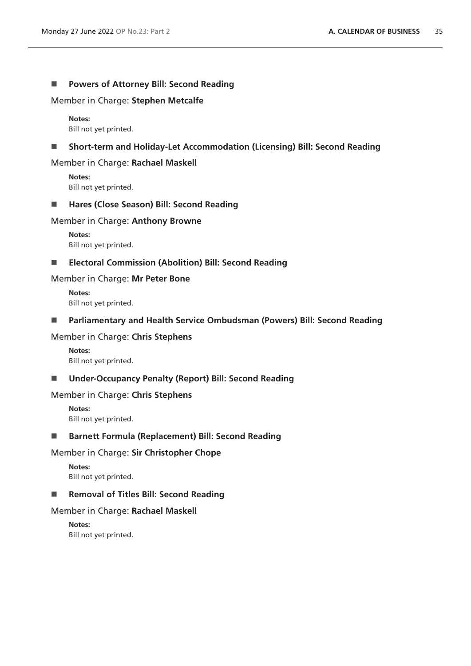## **Powers of Attorney Bill: Second Reading**

Member in Charge: **Stephen Metcalfe**

**Notes:** Bill not yet printed.

#### **Short-term and Holiday-Let Accommodation (Licensing) Bill: Second Reading**

#### Member in Charge: **Rachael Maskell**

**Notes:** Bill not yet printed.

#### ■ Hares (Close Season) Bill: Second Reading

#### Member in Charge: **Anthony Browne**

**Notes:** Bill not yet printed.

**Electoral Commission (Abolition) Bill: Second Reading**

#### Member in Charge: **Mr Peter Bone**

**Notes:** Bill not yet printed.

**Parliamentary and Health Service Ombudsman (Powers) Bill: Second Reading**

## Member in Charge: **Chris Stephens**

**Notes:** Bill not yet printed.

## **Under-Occupancy Penalty (Report) Bill: Second Reading**

#### Member in Charge: **Chris Stephens**

**Notes:** Bill not yet printed.

## **Barnett Formula (Replacement) Bill: Second Reading**

#### Member in Charge: **Sir Christopher Chope**

**Notes:** Bill not yet printed.

#### ■ Removal of Titles Bill: Second Reading

#### Member in Charge: **Rachael Maskell**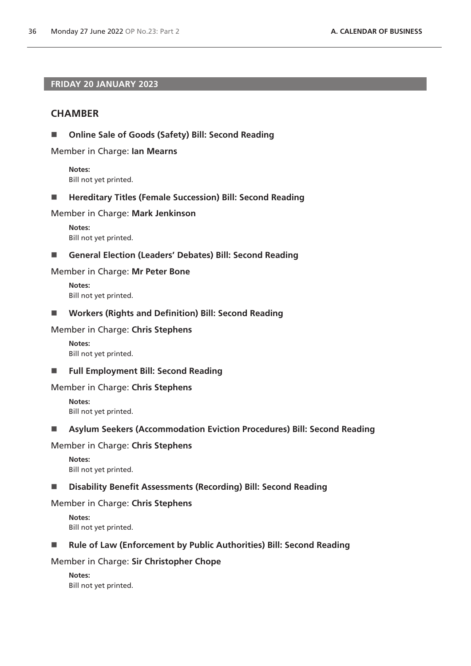# **FRIDAY 20 JANUARY 2023**

# **CHAMBER**

**Online Sale of Goods (Safety) Bill: Second Reading**

Member in Charge: **Ian Mearns**

**Notes:** Bill not yet printed.

■ Hereditary Titles (Female Succession) Bill: Second Reading

#### Member in Charge: **Mark Jenkinson**

**Notes:** Bill not yet printed.

#### **General Election (Leaders' Debates) Bill: Second Reading**

#### Member in Charge: **Mr Peter Bone**

**Notes:** Bill not yet printed.

**Workers (Rights and Definition) Bill: Second Reading**

#### Member in Charge: **Chris Stephens**

**Notes:** Bill not yet printed.

**Full Employment Bill: Second Reading**

#### Member in Charge: **Chris Stephens**

**Notes:** Bill not yet printed.

## **Asylum Seekers (Accommodation Eviction Procedures) Bill: Second Reading**

## Member in Charge: **Chris Stephens**

**Notes:** Bill not yet printed.

## **Disability Benefit Assessments (Recording) Bill: Second Reading**

#### Member in Charge: **Chris Stephens**

**Notes:** Bill not yet printed.

## ■ Rule of Law (Enforcement by Public Authorities) Bill: Second Reading

## Member in Charge: **Sir Christopher Chope**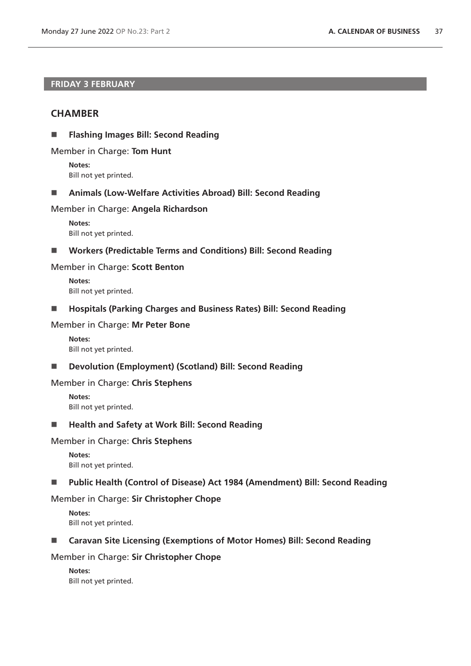# **FRIDAY 3 FEBRUARY**

# **CHAMBER**

**Flashing Images Bill: Second Reading**

Member in Charge: **Tom Hunt**

**Notes:** Bill not yet printed.

**Animals (Low-Welfare Activities Abroad) Bill: Second Reading**

#### Member in Charge: **Angela Richardson**

**Notes:** Bill not yet printed.

**Workers (Predictable Terms and Conditions) Bill: Second Reading**

#### Member in Charge: **Scott Benton**

**Notes:** Bill not yet printed.

**Hospitals (Parking Charges and Business Rates) Bill: Second Reading**

#### Member in Charge: **Mr Peter Bone**

**Notes:** Bill not yet printed.

**Devolution (Employment) (Scotland) Bill: Second Reading**

#### Member in Charge: **Chris Stephens**

**Notes:** Bill not yet printed.

■ Health and Safety at Work Bill: Second Reading

#### Member in Charge: **Chris Stephens**

**Notes:** Bill not yet printed.

**Public Health (Control of Disease) Act 1984 (Amendment) Bill: Second Reading**

## Member in Charge: **Sir Christopher Chope**

**Notes:** Bill not yet printed.

#### ■ Caravan Site Licensing (Exemptions of Motor Homes) Bill: Second Reading

#### Member in Charge: **Sir Christopher Chope**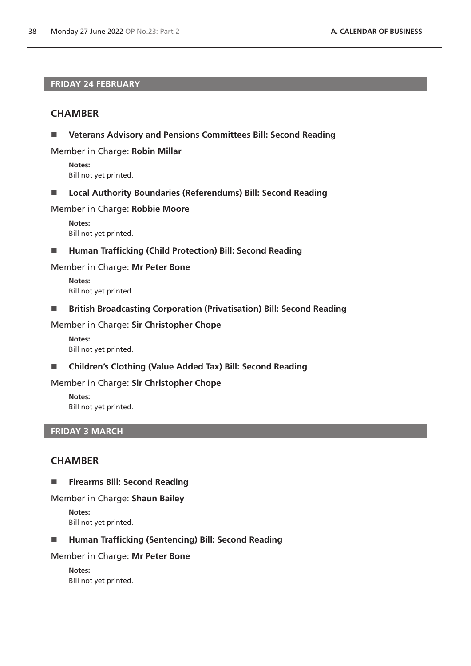## **FRIDAY 24 FEBRUARY**

# **CHAMBER**

**Veterans Advisory and Pensions Committees Bill: Second Reading**

Member in Charge: **Robin Millar**

**Notes:** Bill not yet printed.

**Local Authority Boundaries (Referendums) Bill: Second Reading**

Member in Charge: **Robbie Moore**

**Notes:** Bill not yet printed.

■ Human Trafficking (Child Protection) Bill: Second Reading

Member in Charge: **Mr Peter Bone**

**Notes:** Bill not yet printed.

**British Broadcasting Corporation (Privatisation) Bill: Second Reading**

Member in Charge: **Sir Christopher Chope**

**Notes:** Bill not yet printed.

**Children's Clothing (Value Added Tax) Bill: Second Reading**

Member in Charge: **Sir Christopher Chope**

**Notes:** Bill not yet printed.

## **FRIDAY 3 MARCH**

# **CHAMBER**

**Firearms Bill: Second Reading** 

#### Member in Charge: **Shaun Bailey**

**Notes:** Bill not yet printed.

**Human Trafficking (Sentencing) Bill: Second Reading** 

Member in Charge: **Mr Peter Bone**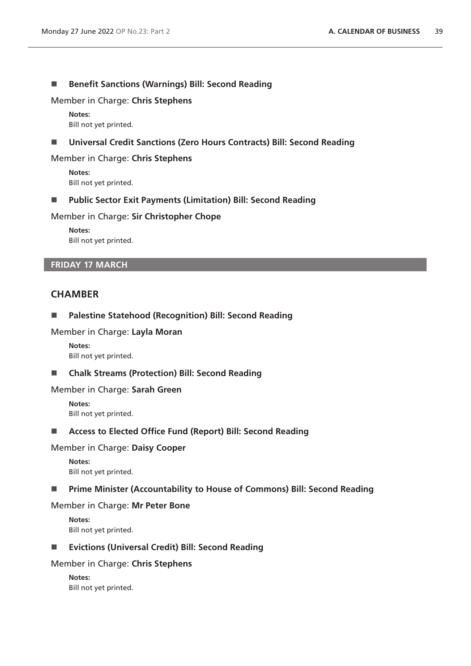#### ■ Benefit Sanctions (Warnings) Bill: Second Reading

Member in Charge: **Chris Stephens**

**Notes:** Bill not yet printed.

## **Universal Credit Sanctions (Zero Hours Contracts) Bill: Second Reading**

#### Member in Charge: **Chris Stephens**

**Notes:** Bill not yet printed.

**Public Sector Exit Payments (Limitation) Bill: Second Reading**

#### Member in Charge: **Sir Christopher Chope**

**Notes:** Bill not yet printed.

## **FRIDAY 17 MARCH**

# **CHAMBER**

#### **Palestine Statehood (Recognition) Bill: Second Reading**

#### Member in Charge: **Layla Moran**

**Notes:** Bill not yet printed.

**Chalk Streams (Protection) Bill: Second Reading**

#### Member in Charge: **Sarah Green**

**Notes:** Bill not yet printed.

## **Access to Elected Office Fund (Report) Bill: Second Reading**

#### Member in Charge: **Daisy Cooper**

**Notes:** Bill not yet printed.

#### **Prime Minister (Accountability to House of Commons) Bill: Second Reading**

#### Member in Charge: **Mr Peter Bone**

**Notes:** Bill not yet printed.

#### **Evictions (Universal Credit) Bill: Second Reading**

#### Member in Charge: **Chris Stephens**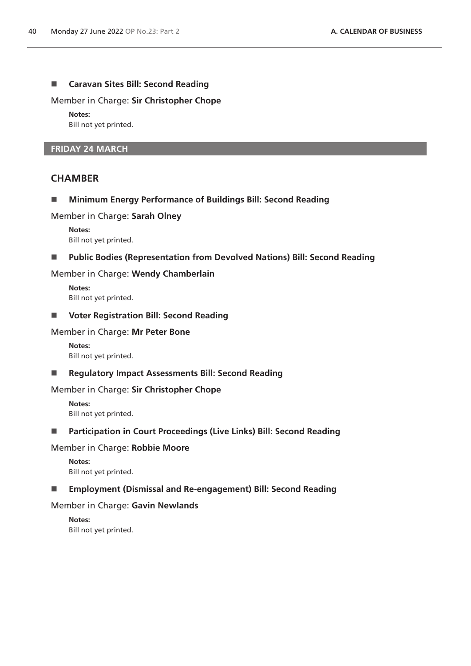## **Caravan Sites Bill: Second Reading**

Member in Charge: **Sir Christopher Chope**

**Notes:**

Bill not yet printed.

## **FRIDAY 24 MARCH**

## **CHAMBER**

**Minimum Energy Performance of Buildings Bill: Second Reading**

Member in Charge: **Sarah Olney**

**Notes:** Bill not yet printed.

#### **Public Bodies (Representation from Devolved Nations) Bill: Second Reading**

Member in Charge: **Wendy Chamberlain**

**Notes:** Bill not yet printed.

**Voter Registration Bill: Second Reading**

#### Member in Charge: **Mr Peter Bone**

**Notes:** Bill not yet printed.

**Regulatory Impact Assessments Bill: Second Reading**

## Member in Charge: **Sir Christopher Chope**

**Notes:** Bill not yet printed.

**Participation in Court Proceedings (Live Links) Bill: Second Reading**

# Member in Charge: **Robbie Moore**

**Notes:** Bill not yet printed.

## **Employment (Dismissal and Re-engagement) Bill: Second Reading**

## Member in Charge: **Gavin Newlands**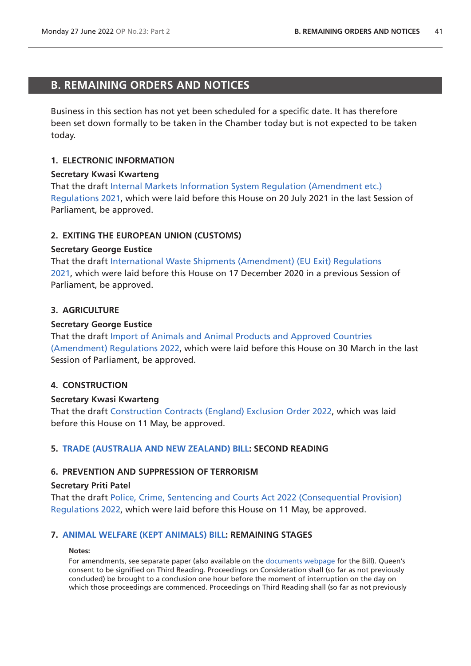# <span id="page-40-0"></span>**B. REMAINING ORDERS AND NOTICES**

Business in this section has not yet been scheduled for a specific date. It has therefore been set down formally to be taken in the Chamber today but is not expected to be taken today.

# **1. ELECTRONIC INFORMATION**

## **Secretary Kwasi Kwarteng**

That the draft [Internal Markets Information System Regulation \(Amendment etc.\)](https://www.legislation.gov.uk/ukdsi/2021/9780348226126/pdfs/ukdsi_9780348226126_en.pdf)  [Regulations 2021](https://www.legislation.gov.uk/ukdsi/2021/9780348226126/pdfs/ukdsi_9780348226126_en.pdf), which were laid before this House on 20 July 2021 in the last Session of Parliament, be approved.

## **2. EXITING THE EUROPEAN UNION (CUSTOMS)**

#### **Secretary George Eustice**

That the draft [International Waste Shipments \(Amendment\) \(EU Exit\) Regulations](https://www.legislation.gov.uk/ukdsi/2021/9780348217650/pdfs/ukdsi_9780348217650_en.pdf)  [2021,](https://www.legislation.gov.uk/ukdsi/2021/9780348217650/pdfs/ukdsi_9780348217650_en.pdf) which were laid before this House on 17 December 2020 in a previous Session of Parliament, be approved.

## **3. AGRICULTURE**

## **Secretary George Eustice**

That the draft [Import of Animals and Animal Products and Approved Countries](https://www.legislation.gov.uk/ukdsi/2022/9780348234282/pdfs/ukdsi_9780348234282_en.pdf)  [\(Amendment\) Regulations 2022,](https://www.legislation.gov.uk/ukdsi/2022/9780348234282/pdfs/ukdsi_9780348234282_en.pdf) which were laid before this House on 30 March in the last Session of Parliament, be approved.

## **4. CONSTRUCTION**

## **Secretary Kwasi Kwarteng**

That the draft [Construction Contracts \(England\) Exclusion Order 2022](https://www.legislation.gov.uk/ukdsi/2022/9780348235043/pdfs/ukdsi_9780348235043_en.pdf), which was laid before this House on 11 May, be approved.

## **5. [TRADE \(AUSTRALIA AND NEW ZEALAND\) BILL:](https://publications.parliament.uk/pa/bills/cbill/58-03/0009/220009.pdf) SECOND READING**

## **6. PREVENTION AND SUPPRESSION OF TERRORISM**

#### **Secretary Priti Patel**

That the draft [Police, Crime, Sentencing and Courts Act 2022 \(Consequential Provision\)](https://www.legislation.gov.uk/ukdsi/2022/9780348235012/pdfs/ukdsi_9780348235012_en.pdf)  [Regulations 2022](https://www.legislation.gov.uk/ukdsi/2022/9780348235012/pdfs/ukdsi_9780348235012_en.pdf), which were laid before this House on 11 May, be approved.

## **7. [ANIMAL WELFARE \(KEPT ANIMALS\) BILL](https://publications.parliament.uk/pa/bills/cbill/58-03/0002/220002.pdf): REMAINING STAGES**

#### **Notes:**

For amendments, see separate paper (also available on the [documents webpage](https://bills.parliament.uk/bills/2880/publications) for the Bill). Queen's consent to be signified on Third Reading. Proceedings on Consideration shall (so far as not previously concluded) be brought to a conclusion one hour before the moment of interruption on the day on which those proceedings are commenced. Proceedings on Third Reading shall (so far as not previously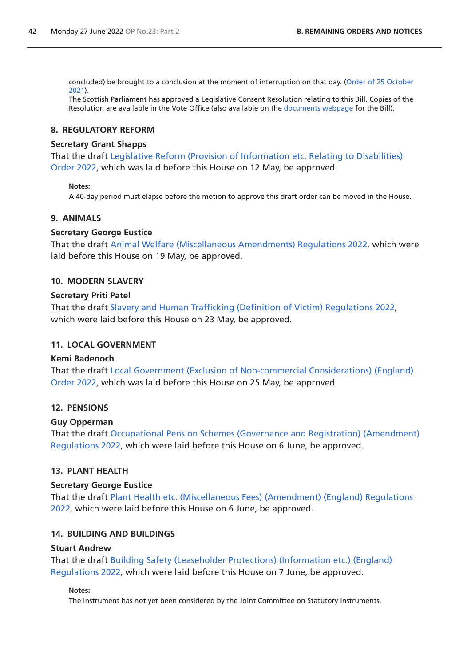concluded) be brought to a conclusion at the moment of interruption on that day. ([Order of 25 October](https://commonsbusiness.parliament.uk/document/50975/pdf)  [2021](https://commonsbusiness.parliament.uk/document/50975/pdf)).

The Scottish Parliament has approved a Legislative Consent Resolution relating to this Bill. Copies of the Resolution are available in the Vote Office (also available on the [documents webpage](https://bills.parliament.uk/bills/2880/publications) for the Bill).

## **8. REGULATORY REFORM**

#### **Secretary Grant Shapps**

That the draft [Legislative Reform \(Provision of Information etc. Relating to Disabilities\)](https://www.legislation.gov.uk/ukdsi/2022/9780348235203/pdfs/ukdsi_9780348235203_en.pdf)  [Order 2022,](https://www.legislation.gov.uk/ukdsi/2022/9780348235203/pdfs/ukdsi_9780348235203_en.pdf) which was laid before this House on 12 May, be approved.

#### **Notes:**

A 40-day period must elapse before the motion to approve this draft order can be moved in the House.

## **9. ANIMALS**

#### **Secretary George Eustice**

That the draft [Animal Welfare \(Miscellaneous Amendments\) Regulations 2022](https://www.legislation.gov.uk/ukdsi/2022/9780348235340/pdfs/ukdsi_9780348235340_en.pdf), which were laid before this House on 19 May, be approved.

#### **10. MODERN SLAVERY**

#### **Secretary Priti Patel**

That the draft [Slavery and Human Trafficking \(Definition of Victim\) Regulations 2022](https://www.legislation.gov.uk/ukdsi/2022/9780348235463/pdfs/ukdsi_9780348235463_en.pdf), which were laid before this House on 23 May, be approved.

## **11. LOCAL GOVERNMENT**

## **Kemi Badenoch**

That the draft [Local Government \(Exclusion of Non-commercial Considerations\) \(England\)](https://www.legislation.gov.uk/ukdsi/2022/9780348235500/pdfs/ukdsi_9780348235500_en.pdf)  [Order 2022,](https://www.legislation.gov.uk/ukdsi/2022/9780348235500/pdfs/ukdsi_9780348235500_en.pdf) which was laid before this House on 25 May, be approved.

## **12. PENSIONS**

## **Guy Opperman**

That the draft [Occupational Pension Schemes \(Governance and Registration\) \(Amendment\)](https://www.legislation.gov.uk/ukdsi/2022/9780348235777/pdfs/ukdsi_9780348235777_en.pdf)  [Regulations 2022](https://www.legislation.gov.uk/ukdsi/2022/9780348235777/pdfs/ukdsi_9780348235777_en.pdf), which were laid before this House on 6 June, be approved.

## **13. PLANT HEALTH**

#### **Secretary George Eustice**

That the draft [Plant Health etc. \(Miscellaneous Fees\) \(Amendment\) \(England\) Regulations](https://www.legislation.gov.uk/ukdsi/2022/9780348235821/pdfs/ukdsi_9780348235821_en.pdf)  [2022,](https://www.legislation.gov.uk/ukdsi/2022/9780348235821/pdfs/ukdsi_9780348235821_en.pdf) which were laid before this House on 6 June, be approved.

## **14. BUILDING AND BUILDINGS**

#### **Stuart Andrew**

That the draft [Building Safety \(Leaseholder Protections\) \(Information etc.\) \(England\)](https://www.legislation.gov.uk/ukdsi/2022/9780348235791/pdfs/ukdsi_9780348235791_en.pdf)  [Regulations 2022](https://www.legislation.gov.uk/ukdsi/2022/9780348235791/pdfs/ukdsi_9780348235791_en.pdf), which were laid before this House on 7 June, be approved.

#### **Notes:**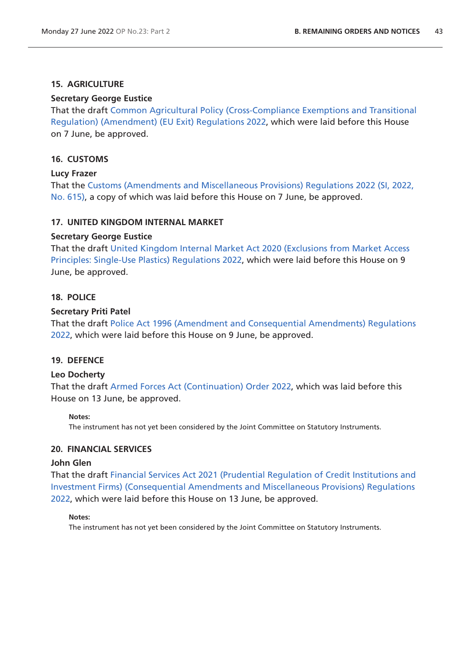# **15. AGRICULTURE**

## **Secretary George Eustice**

That the draft [Common Agricultural Policy \(Cross-Compliance Exemptions and Transitional](https://www.legislation.gov.uk/ukdsi/2022/9780348235951/pdfs/ukdsi_9780348235951_en.pdf)  [Regulation\) \(Amendment\) \(EU Exit\) Regulations 2022](https://www.legislation.gov.uk/ukdsi/2022/9780348235951/pdfs/ukdsi_9780348235951_en.pdf), which were laid before this House on 7 June, be approved.

# **16. CUSTOMS**

## **Lucy Frazer**

That the [Customs \(Amendments and Miscellaneous Provisions\) Regulations 2022 \(SI, 2022,](https://www.legislation.gov.uk/uksi/2022/615/pdfs/uksi_20220615_en.pdf)  [No. 615\)](https://www.legislation.gov.uk/uksi/2022/615/pdfs/uksi_20220615_en.pdf), a copy of which was laid before this House on 7 June, be approved.

## **17. UNITED KINGDOM INTERNAL MARKET**

## **Secretary George Eustice**

That the draft [United Kingdom Internal Market Act 2020 \(Exclusions from Market Access](https://www.legislation.gov.uk/ukdsi/2022/9780348236101/pdfs/ukdsi_9780348236101_en.pdf)  [Principles: Single-Use Plastics\) Regulations 2022,](https://www.legislation.gov.uk/ukdsi/2022/9780348236101/pdfs/ukdsi_9780348236101_en.pdf) which were laid before this House on 9 June, be approved.

## **18. POLICE**

## **Secretary Priti Patel**

That the draft [Police Act 1996 \(Amendment and Consequential Amendments\) Regulations](https://www.legislation.gov.uk/ukdsi/2022/9780348236026/pdfs/ukdsi_9780348236026_en.pdf)  [2022,](https://www.legislation.gov.uk/ukdsi/2022/9780348236026/pdfs/ukdsi_9780348236026_en.pdf) which were laid before this House on 9 June, be approved.

## **19. DEFENCE**

## **Leo Docherty**

That the draft [Armed Forces Act \(Continuation\) Order 2022](https://www.legislation.gov.uk/ukdsi/2022/9780348235975/pdfs/ukdsi_9780348235975_en.pdf), which was laid before this House on 13 June, be approved.

## **Notes:**

The instrument has not yet been considered by the Joint Committee on Statutory Instruments.

## **20. FINANCIAL SERVICES**

## **John Glen**

That the draft [Financial Services Act 2021 \(Prudential Regulation of Credit Institutions and](https://www.legislation.gov.uk/ukdsi/2022/9780348236217/pdfs/ukdsi_9780348236217_en.pdf)  [Investment Firms\) \(Consequential Amendments and Miscellaneous Provisions\) Regulations](https://www.legislation.gov.uk/ukdsi/2022/9780348236217/pdfs/ukdsi_9780348236217_en.pdf)  [2022,](https://www.legislation.gov.uk/ukdsi/2022/9780348236217/pdfs/ukdsi_9780348236217_en.pdf) which were laid before this House on 13 June, be approved.

#### **Notes:**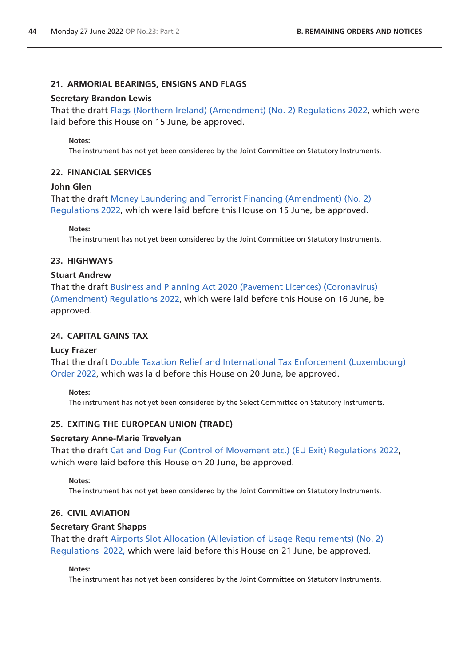## **21. ARMORIAL BEARINGS, ENSIGNS AND FLAGS**

#### **Secretary Brandon Lewis**

That the draft [Flags \(Northern Ireland\) \(Amendment\) \(No. 2\) Regulations 2022,](https://www.legislation.gov.uk/ukdsi/2022/9780348236248/pdfs/ukdsi_9780348236248_en.pdf) which were laid before this House on 15 June, be approved.

#### **Notes:**

The instrument has not yet been considered by the Joint Committee on Statutory Instruments.

## **22. FINANCIAL SERVICES**

## **John Glen**

That the draft [Money Laundering and Terrorist Financing \(Amendment\) \(No. 2\)](https://www.legislation.gov.uk/ukdsi/2022/9780348236347/pdfs/ukdsi_9780348236347_en.pdf)  [Regulations 2022](https://www.legislation.gov.uk/ukdsi/2022/9780348236347/pdfs/ukdsi_9780348236347_en.pdf), which were laid before this House on 15 June, be approved.

**Notes:**

The instrument has not yet been considered by the Joint Committee on Statutory Instruments.

## **23. HIGHWAYS**

## **Stuart Andrew**

That the draft [Business and Planning Act 2020 \(Pavement Licences\) \(Coronavirus\)](https://www.legislation.gov.uk/ukdsi/2022/9780348236378/pdfs/ukdsi_9780348236378_en.pdf)  [\(Amendment\) Regulations 2022,](https://www.legislation.gov.uk/ukdsi/2022/9780348236378/pdfs/ukdsi_9780348236378_en.pdf) which were laid before this House on 16 June, be approved.

## **24. CAPITAL GAINS TAX**

#### **Lucy Frazer**

That the draft [Double Taxation Relief and International Tax Enforcement \(Luxembourg\)](https://www.legislation.gov.uk/ukdsi/2022/9780348236484/pdfs/ukdsi_9780348236484_en.pdf)  [Order 2022,](https://www.legislation.gov.uk/ukdsi/2022/9780348236484/pdfs/ukdsi_9780348236484_en.pdf) which was laid before this House on 20 June, be approved.

#### **Notes:**

The instrument has not yet been considered by the Select Committee on Statutory Instruments.

## **25. EXITING THE EUROPEAN UNION (TRADE)**

#### **Secretary Anne-Marie Trevelyan**

That the draft [Cat and Dog Fur \(Control of Movement etc.\) \(EU Exit\) Regulations 2022,](https://www.legislation.gov.uk/ukdsi/2022/9780348236491/pdfs/ukdsi_9780348236491_en.pdf) which were laid before this House on 20 June, be approved.

#### **Notes:**

The instrument has not yet been considered by the Joint Committee on Statutory Instruments.

## **26. CIVIL AVIATION**

## **Secretary Grant Shapps**

That the draft [Airports Slot Allocation \(Alleviation of Usage Requirements\) \(No. 2\)](https://www.legislation.gov.uk/ukdsi/2022/9780348236590/pdfs/ukdsi_9780348236590_en.pdf)  [Regulations 2022, w](https://www.legislation.gov.uk/ukdsi/2022/9780348236590/pdfs/ukdsi_9780348236590_en.pdf)hich were laid before this House on 21 June, be approved.

#### **Notes:**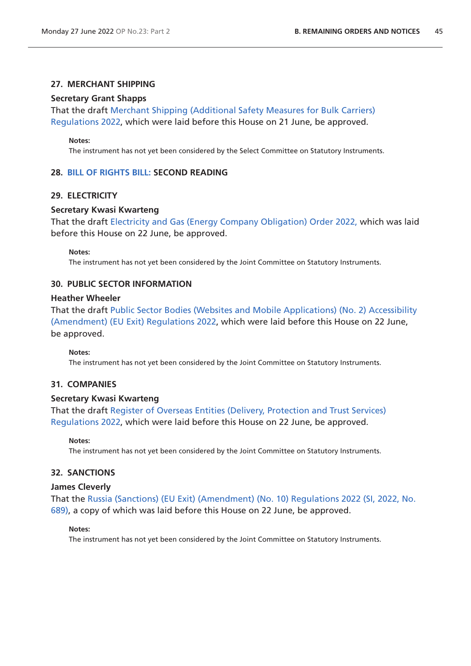## **27. MERCHANT SHIPPING**

## **Secretary Grant Shapps**

That the draft [Merchant Shipping \(Additional Safety Measures for Bulk Carriers\)](https://www.legislation.gov.uk/ukdsi/2022/9780348236569/pdfs/ukdsi_9780348236569_en.pdf)  [Regulations 2022](https://www.legislation.gov.uk/ukdsi/2022/9780348236569/pdfs/ukdsi_9780348236569_en.pdf), which were laid before this House on 21 June, be approved.

#### **Notes:**

The instrument has not yet been considered by the Select Committee on Statutory Instruments.

#### **28. [BILL OF RIGHTS BILL: S](https://publications.parliament.uk/pa/bills/cbill/58-03/0117/220117.pdf)ECOND READING**

#### **29. ELECTRICITY**

#### **Secretary Kwasi Kwarteng**

That the draft [Electricity and Gas \(Energy Company Obligation\) Order 2022,](https://www.legislation.gov.uk/ukdsi/2022/9780348236606/pdfs/ukdsi_9780348236606_en.pdf) which was laid before this House on 22 June, be approved.

#### **Notes:**

The instrument has not yet been considered by the Joint Committee on Statutory Instruments.

#### **30. PUBLIC SECTOR INFORMATION**

#### **Heather Wheeler**

That the draft [Public Sector Bodies \(Websites and Mobile Applications\) \(No. 2\) Accessibility](https://www.legislation.gov.uk/ukdsi/2022/9780348236583/pdfs/ukdsi_9780348236583_en.pdf)  [\(Amendment\) \(EU Exit\) Regulations 2022](https://www.legislation.gov.uk/ukdsi/2022/9780348236583/pdfs/ukdsi_9780348236583_en.pdf), which were laid before this House on 22 June, be approved.

#### **Notes:**

The instrument has not yet been considered by the Joint Committee on Statutory Instruments.

#### **31. COMPANIES**

#### **Secretary Kwasi Kwarteng**

That the draft [Register of Overseas Entities \(Delivery, Protection and Trust Services\)](https://www.legislation.gov.uk/ukdsi/2022/9780348236576/pdfs/ukdsi_9780348236576_en.pdf)  [Regulations 2022](https://www.legislation.gov.uk/ukdsi/2022/9780348236576/pdfs/ukdsi_9780348236576_en.pdf), which were laid before this House on 22 June, be approved.

#### **Notes:**

The instrument has not yet been considered by the Joint Committee on Statutory Instruments.

## **32. SANCTIONS**

#### **James Cleverly**

That the [Russia \(Sanctions\) \(EU Exit\) \(Amendment\) \(No. 10\) Regulations 2022 \(SI, 2022, No.](https://www.legislation.gov.uk/uksi/2022/689/pdfs/uksi_20220689_en.pdf)  [689\)](https://www.legislation.gov.uk/uksi/2022/689/pdfs/uksi_20220689_en.pdf), a copy of which was laid before this House on 22 June, be approved.

#### **Notes:**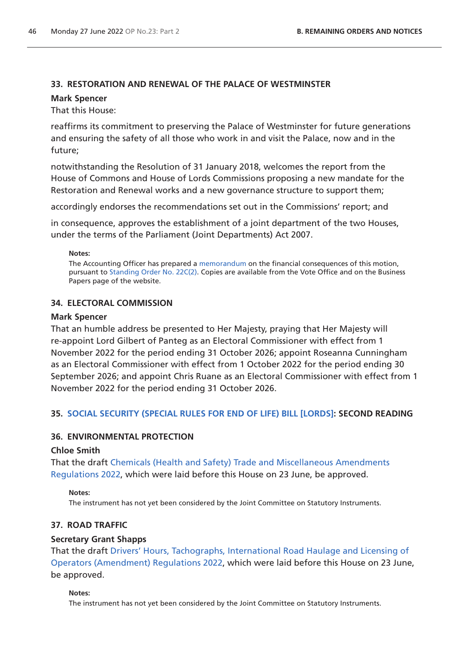## **33. RESTORATION AND RENEWAL OF THE PALACE OF WESTMINSTER**

#### **Mark Spencer**

That this House:

reaffirms its commitment to preserving the Palace of Westminster for future generations and ensuring the safety of all those who work in and visit the Palace, now and in the future;

notwithstanding the Resolution of 31 January 2018, welcomes the report from the House of Commons and House of Lords Commissions proposing a new mandate for the Restoration and Renewal works and a new governance structure to support them;

accordingly endorses the recommendations set out in the Commissions' report; and

in consequence, approves the establishment of a joint department of the two Houses, under the terms of the Parliament (Joint Departments) Act 2007.

#### **Notes:**

The Accounting Officer has prepared a [memorandum](https://www.parliament.uk/business/publications/commons/financial-consequences-memoranda/) on the financial consequences of this motion, pursuant to [Standing Order No. 22C\(2\)](https://publications.parliament.uk/pa/cm5802/cmstords/so_804_2021/so-orders.html#so-22C_2). Copies are available from the Vote Office and on the Business Papers page of the website.

## **34. ELECTORAL COMMISSION**

#### **Mark Spencer**

That an humble address be presented to Her Majesty, praying that Her Majesty will re-appoint Lord Gilbert of Panteg as an Electoral Commissioner with effect from 1 November 2022 for the period ending 31 October 2026; appoint Roseanna Cunningham as an Electoral Commissioner with effect from 1 October 2022 for the period ending 30 September 2026; and appoint Chris Ruane as an Electoral Commissioner with effect from 1 November 2022 for the period ending 31 October 2026.

## **35. [SOCIAL SECURITY \(SPECIAL RULES FOR END OF LIFE\) BILL \[LORDS\]:](https://publications.parliament.uk/pa/bills/cbill/58-03/0118/220118.pdf) SECOND READING**

## **36. ENVIRONMENTAL PROTECTION**

## **Chloe Smith**

That the draft [Chemicals \(Health and Safety\) Trade and Miscellaneous Amendments](https://www.legislation.gov.uk/ukdsi/2022/9780348236613/pdfs/ukdsi_9780348236613_en.pdf)  [Regulations 2022](https://www.legislation.gov.uk/ukdsi/2022/9780348236613/pdfs/ukdsi_9780348236613_en.pdf), which were laid before this House on 23 June, be approved.

#### **Notes:**

The instrument has not yet been considered by the Joint Committee on Statutory Instruments.

## **37. ROAD TRAFFIC**

## **Secretary Grant Shapps**

That the draft [Drivers' Hours, Tachographs, International Road Haulage and Licensing of](https://www.legislation.gov.uk/ukdsi/2022/9780348236651/pdfs/ukdsi_9780348236651_en.pdf)  [Operators \(Amendment\) Regulations 2022](https://www.legislation.gov.uk/ukdsi/2022/9780348236651/pdfs/ukdsi_9780348236651_en.pdf), which were laid before this House on 23 June, be approved.

#### **Notes:**